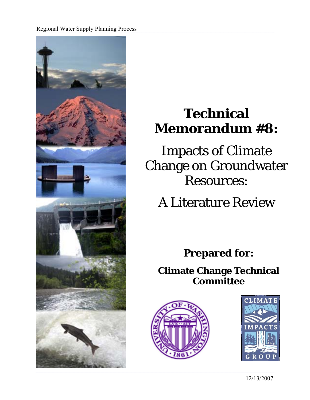Regional Water Supply Planning Process



# **Technical Memorandum #8:**

Impacts of Climate Change on Groundwater Resources:

A Literature Review

**Prepared for:** 

**Climate Change Technical Committee**





12/13/2007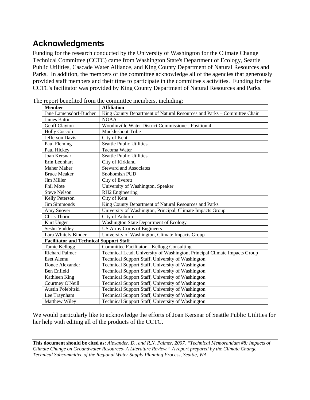# **Acknowledgments**

Funding for the research conducted by the University of Washington for the Climate Change Technical Committee (CCTC) came from Washington State's Department of Ecology, Seattle Public Utilities, Cascade Water Alliance, and King County Department of Natural Resources and Parks. In addition, the members of the committee acknowledge all of the agencies that generously provided staff members and their time to participate in the committee's activities. Funding for the CCTC's facilitator was provided by King County Department of Natural Resources and Parks.

| <b>Member</b>                                  | <b>Affiliation</b>                                                        |  |  |  |
|------------------------------------------------|---------------------------------------------------------------------------|--|--|--|
| Jane Lamensdorf-Bucher                         | King County Department of Natural Resources and Parks - Committee Chair   |  |  |  |
| <b>James Battin</b>                            | <b>NOAA</b>                                                               |  |  |  |
| Geoff Clayton                                  | Woodinville Water District Commissioner, Position 4                       |  |  |  |
| <b>Holly Coccoli</b>                           | Muckleshoot Tribe                                                         |  |  |  |
| Jefferson Davis                                | City of Kent                                                              |  |  |  |
| Paul Fleming                                   | <b>Seattle Public Utilities</b>                                           |  |  |  |
| Paul Hickey                                    | Tacoma Water                                                              |  |  |  |
| Joan Kersnar                                   | <b>Seattle Public Utilities</b>                                           |  |  |  |
| Erin Leonhart                                  | City of Kirkland                                                          |  |  |  |
| <b>Maher Maher</b>                             | <b>Steward and Associates</b>                                             |  |  |  |
| <b>Bruce Meaker</b>                            | Snohomish PUD                                                             |  |  |  |
| Jim Miller                                     | City of Everett                                                           |  |  |  |
| Phil Mote                                      | University of Washington, Speaker                                         |  |  |  |
| <b>Steve Nelson</b>                            | RH2 Engineering                                                           |  |  |  |
| Kelly Peterson                                 | City of Kent                                                              |  |  |  |
| Jim Simmonds                                   | King County Department of Natural Resources and Parks                     |  |  |  |
| Amy Snover                                     | University of Washington, Principal, Climate Impacts Group                |  |  |  |
| Chris Thorn                                    | City of Auburn                                                            |  |  |  |
| Kurt Unger                                     | Washington State Department of Ecology                                    |  |  |  |
| Seshu Vaddey                                   | <b>US Army Corps of Engineers</b>                                         |  |  |  |
| Lara Whitely Binder                            | University of Washington, Climate Impacts Group                           |  |  |  |
| <b>Facilitator and Technical Support Staff</b> |                                                                           |  |  |  |
| Tamie Kellogg                                  | Committee Facilitator - Kellogg Consulting                                |  |  |  |
| <b>Richard Palmer</b>                          | Technical Lead, University of Washington, Principal Climate Impacts Group |  |  |  |
| Eset Alemu                                     | Technical Support Staff, University of Washington                         |  |  |  |
| Donee Alexander                                | Technical Support Staff, University of Washington                         |  |  |  |
| Ben Enfield                                    | Technical Support Staff, University of Washington                         |  |  |  |
| Kathleen King                                  | Technical Support Staff, University of Washington                         |  |  |  |
| Courtney O'Neill                               | Technical Support Staff, University of Washington                         |  |  |  |
| Austin Polebitski                              | Technical Support Staff, University of Washington                         |  |  |  |
| Lee Traynham                                   | Technical Support Staff, University of Washington                         |  |  |  |
| Matthew Wiley                                  | Technical Support Staff, University of Washington                         |  |  |  |

The report benefited from the committee members, including:

We would particularly like to acknowledge the efforts of Joan Kersnar of Seattle Public Utilities for her help with editing all of the products of the CCTC.

**This document should be cited as:** *Alexander, D., and R.N. Palmer. 2007. "Technical Memorandum #8: [Impacts of](http://www.climate.tag.washington.edu/techmemos/Tech%20Memo%208%20GW%20LIT%20REVIEW_11_1_07.pdf)  [Climate Change on Groundwater Resources- A Literature Review.](http://www.climate.tag.washington.edu/techmemos/Tech%20Memo%208%20GW%20LIT%20REVIEW_11_1_07.pdf)" A report prepared by the Climate Change Technical Subcommittee of the Regional Water Supply Planning Process, Seattle, WA.*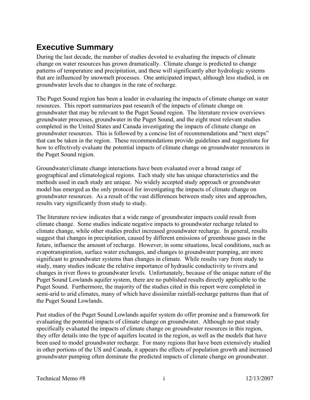# **Executive Summary**

During the last decade, the number of studies devoted to evaluating the impacts of climate change on water resources has grown dramatically. Climate change is predicted to change patterns of temperature and precipitation, and these will significantly alter hydrologic systems that are influenced by snowmelt processes. One anticipated impact, although less studied, is on groundwater levels due to changes in the rate of recharge.

The Puget Sound region has been a leader in evaluating the impacts of climate change on water resources. This report summarizes past research of the impacts of climate change on groundwater that may be relevant to the Puget Sound region. The literature review overviews groundwater processes, groundwater in the Puget Sound, and the eight most relevant studies completed in the United States and Canada investigating the impacts of climate change on groundwater resources. This is followed by a concise list of recommendations and "next steps" that can be taken in the region. These recommendations provide guidelines and suggestions for how to effectively evaluate the potential impacts of climate change on groundwater resources in the Puget Sound region.

Groundwater/climate change interactions have been evaluated over a broad range of geographical and climatological regions. Each study site has unique characteristics and the methods used in each study are unique. No widely accepted study approach or groundwater model has emerged as the only protocol for investigating the impacts of climate change on groundwater resources. As a result of the vast differences between study sites and approaches, results vary significantly from study to study.

The literature review indicates that a wide range of groundwater impacts could result from climate change. Some studies indicate negative impacts to groundwater recharge related to climate change, while other studies predict increased groundwater recharge. In general, results suggest that changes in precipitation, caused by different emissions of greenhouse gases in the future, influence the amount of recharge. However, in some situations, local conditions, such as evapotranspiration, surface water exchanges, and changes to groundwater pumping, are more significant to groundwater systems than changes in climate. While results vary from study to study, many studies indicate the relative importance of hydraulic conductivity to rivers and changes in river flows to groundwater levels. Unfortunately, because of the unique nature of the Puget Sound Lowlands aquifer system, there are no published results directly applicable to the Puget Sound. Furthermore, the majority of the studies cited in this report were completed in semi-arid to arid climates, many of which have dissimilar rainfall-recharge patterns than that of the Puget Sound Lowlands.

Past studies of the Puget Sound Lowlands aquifer system do offer promise and a framework for evaluating the potential impacts of climate change on groundwater. Although no past study specifically evaluated the impacts of climate change on groundwater resources in this region, they offer details into the type of aquifers located in the region, as well as the models that have been used to model groundwater recharge. For many regions that have been extensively studied in other portions of the US and Canada, it appears the effects of population growth and increased groundwater pumping often dominate the predicted impacts of climate change on groundwater.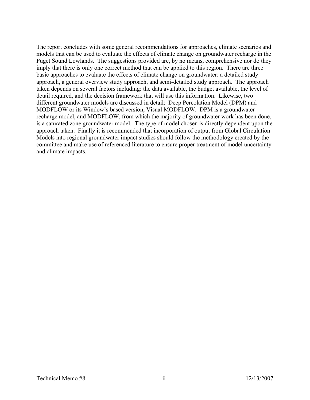The report concludes with some general recommendations for approaches, climate scenarios and models that can be used to evaluate the effects of climate change on groundwater recharge in the Puget Sound Lowlands. The suggestions provided are, by no means, comprehensive nor do they imply that there is only one correct method that can be applied to this region. There are three basic approaches to evaluate the effects of climate change on groundwater: a detailed study approach, a general overview study approach, and semi-detailed study approach. The approach taken depends on several factors including: the data available, the budget available, the level of detail required, and the decision framework that will use this information. Likewise, two different groundwater models are discussed in detail: Deep Percolation Model (DPM) and MODFLOW or its Window's based version, Visual MODFLOW. DPM is a groundwater recharge model, and MODFLOW, from which the majority of groundwater work has been done, is a saturated zone groundwater model. The type of model chosen is directly dependent upon the approach taken. Finally it is recommended that incorporation of output from Global Circulation Models into regional groundwater impact studies should follow the methodology created by the committee and make use of referenced literature to ensure proper treatment of model uncertainty and climate impacts.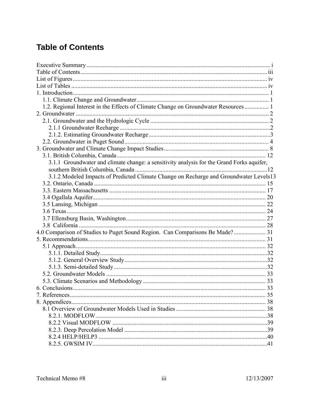# **Table of Contents**

| 1.2. Regional Interest in the Effects of Climate Change on Groundwater Resources 1        |      |
|-------------------------------------------------------------------------------------------|------|
|                                                                                           |      |
|                                                                                           |      |
|                                                                                           |      |
|                                                                                           |      |
|                                                                                           |      |
|                                                                                           |      |
|                                                                                           |      |
| 3.1.1 Groundwater and climate change: a sensitivity analysis for the Grand Forks aquifer, |      |
|                                                                                           |      |
| 3.1.2 Modeled Impacts of Predicted Climate Change on Recharge and Groundwater Levels13    |      |
|                                                                                           |      |
|                                                                                           |      |
|                                                                                           |      |
|                                                                                           |      |
|                                                                                           |      |
|                                                                                           |      |
|                                                                                           |      |
| 4.0 Comparison of Studies to Puget Sound Region. Can Comparisons Be Made? 31              |      |
|                                                                                           |      |
|                                                                                           |      |
|                                                                                           |      |
|                                                                                           |      |
|                                                                                           |      |
|                                                                                           |      |
|                                                                                           |      |
|                                                                                           | . 33 |
|                                                                                           |      |
|                                                                                           |      |
|                                                                                           |      |
|                                                                                           |      |
|                                                                                           |      |
|                                                                                           |      |
|                                                                                           |      |
|                                                                                           |      |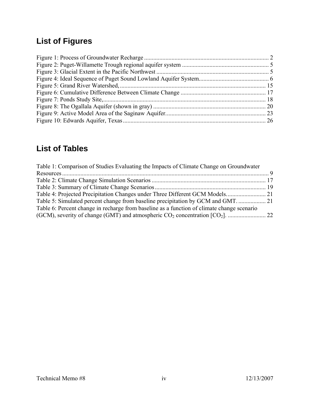# **List of Figures**

# **List of Tables**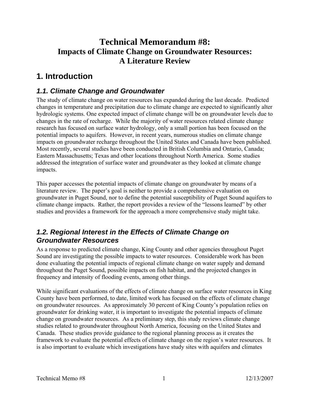# **Technical Memorandum #8: Impacts of Climate Change on Groundwater Resources: A Literature Review**

# **1. Introduction**

# *1.1. Climate Change and Groundwater*

The study of climate change on water resources has expanded during the last decade. Predicted changes in temperature and precipitation due to climate change are expected to significantly alter hydrologic systems. One expected impact of climate change will be on groundwater levels due to changes in the rate of recharge. While the majority of water resources related climate change research has focused on surface water hydrology, only a small portion has been focused on the potential impacts to aquifers. However, in recent years, numerous studies on climate change impacts on groundwater recharge throughout the United States and Canada have been published. Most recently, several studies have been conducted in British Columbia and Ontario, Canada; Eastern Massachusetts; Texas and other locations throughout North America. Some studies addressed the integration of surface water and groundwater as they looked at climate change impacts.

This paper accesses the potential impacts of climate change on groundwater by means of a literature review. The paper's goal is neither to provide a comprehensive evaluation on groundwater in Puget Sound, nor to define the potential susceptibility of Puget Sound aquifers to climate change impacts. Rather, the report provides a review of the "lessons learned" by other studies and provides a framework for the approach a more comprehensive study might take.

# *1.2. Regional Interest in the Effects of Climate Change on Groundwater Resources*

As a response to predicted climate change, King County and other agencies throughout Puget Sound are investigating the possible impacts to water resources. Considerable work has been done evaluating the potential impacts of regional climate change on water supply and demand throughout the Puget Sound, possible impacts on fish habitat, and the projected changes in frequency and intensity of flooding events, among other things.

While significant evaluations of the effects of climate change on surface water resources in King County have been performed, to date, limited work has focused on the effects of climate change on groundwater resources. As approximately 30 percent of King County's population relies on groundwater for drinking water, it is important to investigate the potential impacts of climate change on groundwater resources. As a preliminary step, this study reviews climate change studies related to groundwater throughout North America, focusing on the United States and Canada. These studies provide guidance to the regional planning process as it creates the framework to evaluate the potential effects of climate change on the region's water resources. It is also important to evaluate which investigations have study sites with aquifers and climates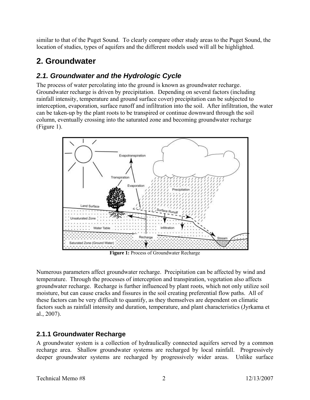similar to that of the Puget Sound. To clearly compare other study areas to the Puget Sound, the location of studies, types of aquifers and the different models used will all be highlighted.

# **2. Groundwater**

# *2.1. Groundwater and the Hydrologic Cycle*

The process of water percolating into the ground is known as groundwater recharge. Groundwater recharge is driven by precipitation. Depending on several factors (including rainfall intensity, temperature and ground surface cover) precipitation can be subjected to interception, evaporation, surface runoff and infiltration into the soil. After infiltration, the water can be taken-up by the plant roots to be transpired or continue downward through the soil column, eventually crossing into the saturated zone and becoming groundwater recharge (Figure 1).



**Figure 1:** Process of Groundwater Recharge

Numerous parameters affect groundwater recharge. Precipitation can be affected by wind and temperature. Through the processes of interception and transpiration, vegetation also affects groundwater recharge. Recharge is further influenced by plant roots, which not only utilize soil moisture, but can cause cracks and fissures in the soil creating preferential flow paths. All of these factors can be very difficult to quantify, as they themselves are dependent on climatic factors such as rainfall intensity and duration, temperature, and plant characteristics (Jyrkama et al., 2007).

# **2.1.1 Groundwater Recharge**

A groundwater system is a collection of hydraulically connected aquifers served by a common recharge area. Shallow groundwater systems are recharged by local rainfall. Progressively deeper groundwater systems are recharged by progressively wider areas. Unlike surface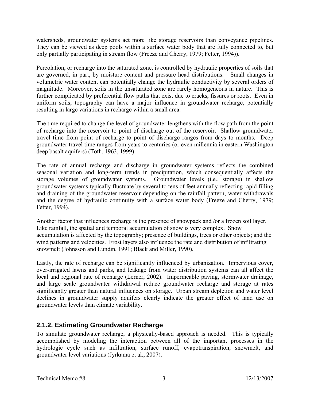watersheds, groundwater systems act more like storage reservoirs than conveyance pipelines. They can be viewed as deep pools within a surface water body that are fully connected to, but only partially participating in stream flow (Freeze and Cherry, 1979; Fetter, 1994)).

Percolation, or recharge into the saturated zone, is controlled by hydraulic properties of soils that are governed, in part, by moisture content and pressure head distributions. Small changes in volumetric water content can potentially change the hydraulic conductivity by several orders of magnitude. Moreover, soils in the unsaturated zone are rarely homogeneous in nature. This is further complicated by preferential flow paths that exist due to cracks, fissures or roots. Even in uniform soils, topography can have a major influence in groundwater recharge, potentially resulting in large variations in recharge within a small area.

The time required to change the level of groundwater lengthens with the flow path from the point of recharge into the reservoir to point of discharge out of the reservoir. Shallow groundwater travel time from point of recharge to point of discharge ranges from days to months. Deep groundwater travel time ranges from years to centuries (or even millennia in eastern Washington deep basalt aquifers) (Toth, 1963, 1999).

The rate of annual recharge and discharge in groundwater systems reflects the combined seasonal variation and long-term trends in precipitation, which consequentially affects the storage volumes of groundwater systems. Groundwater levels (i.e., storage) in shallow groundwater systems typically fluctuate by several to tens of feet annually reflecting rapid filling and draining of the groundwater reservoir depending on the rainfall pattern, water withdrawals and the degree of hydraulic continuity with a surface water body (Freeze and Cherry, 1979; Fetter, 1994).

Another factor that influences recharge is the presence of snowpack and /or a frozen soil layer. Like rainfall, the spatial and temporal accumulation of snow is very complex. Snow accumulation is affected by the topography; presence of buildings, trees or other objects; and the wind patterns and velocities. Frost layers also influence the rate and distribution of infiltrating snowmelt (Johnsson and Lundin, 1991; Black and Miller, 1990).

Lastly, the rate of recharge can be significantly influenced by urbanization. Impervious cover, over-irrigated lawns and parks, and leakage from water distribution systems can all affect the local and regional rate of recharge (Lerner, 2002). Impermeable paving, stormwater drainage, and large scale groundwater withdrawal reduce groundwater recharge and storage at rates significantly greater than natural influences on storage. Urban stream depletion and water level declines in groundwater supply aquifers clearly indicate the greater effect of land use on groundwater levels than climate variability.

### **2.1.2. Estimating Groundwater Recharge**

To simulate groundwater recharge, a physically-based approach is needed. This is typically accomplished by modeling the interaction between all of the important processes in the hydrologic cycle such as infiltration, surface runoff, evapotranspiration, snowmelt, and groundwater level variations (Jyrkama et al., 2007).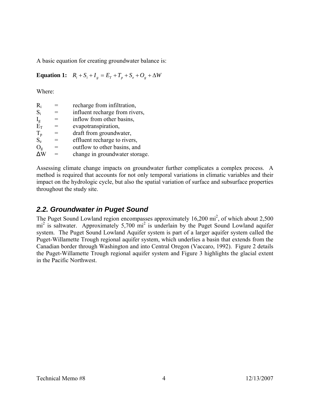A basic equation for creating groundwater balance is:

**Equation 1:**  $R_i + S_i + I_g = E_T + T_p + S_e + O_g + \Delta W$ 

Where:

| $R_i$       | recharge from infiltration,    |
|-------------|--------------------------------|
| $S_i$       | influent recharge from rivers, |
| $I_{g}$     | inflow from other basins,      |
| $E_T$       | evapotranspiration,            |
| $T_p$ $S_e$ | draft from groundwater,        |
|             | effluent recharge to rivers,   |
| $O_g$       | outflow to other basins, and   |
|             | change in groundwater storage. |

Assessing climate change impacts on groundwater further complicates a complex process. A method is required that accounts for not only temporal variations in climatic variables and their impact on the hydrologic cycle, but also the spatial variation of surface and subsurface properties throughout the study site.

# *2.2. Groundwater in Puget Sound*

The Puget Sound Lowland region encompasses approximately  $16,200 \text{ mi}^2$ , of which about 2,500 mi<sup>2</sup> is saltwater. Approximately 5,700 mi<sup>2</sup> is underlain by the Puget Sound Lowland aquifer system. The Puget Sound Lowland Aquifer system is part of a larger aquifer system called the Puget-Willamette Trough regional aquifer system, which underlies a basin that extends from the Canadian border through Washington and into Central Oregon (Vaccaro, 1992). Figure 2 details the Puget-Willamette Trough regional aquifer system and Figure 3 highlights the glacial extent in the Pacific Northwest.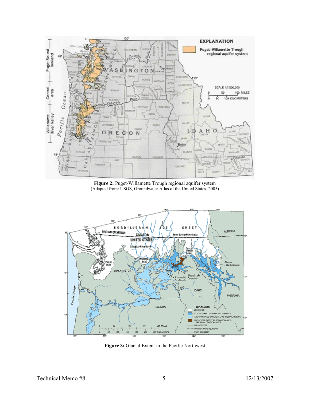

**Figure 2:** Puget-Willamette Trough regional aquifer system (Adapted from: USGS, Groundwater Atlas of the United States. 2005)



**Figure 3:** Glacial Extent in the Pacific Northwest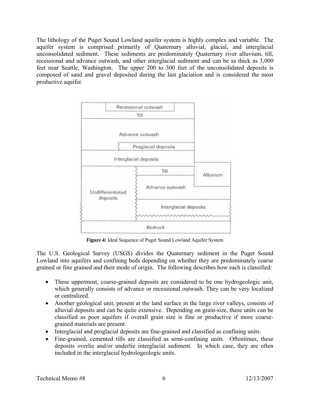The lithology of the Puget Sound Lowland aquifer system is highly complex and variable. The aquifer system is comprised primarily of Quaternary alluvial, glacial, and interglacial unconsolidated sediment. These sediments are predominately Quaternary river alluvium, till, recessional and advance outwash, and other interglacial sediment and can be as thick as 3,000 feet near Seattle, Washington. The upper 200 to 300 feet of the unconsolidated deposits is composed of sand and gravel deposited during the last glaciation and is considered the most productive aquifer.



**Figure 4:** Ideal Sequence of Puget Sound Lowland Aquifer System

The U.S. Geological Survey (USGS) divides the Quaternary sediment in the Puget Sound Lowland into aquifers and confining beds depending on whether they are predominately coarse grained or fine grained and their mode of origin. The following describes how each is classified:

- These uppermost, coarse-grained deposits are considered to be one hydrogeologic unit, which generally consists of advance or recessional outwash. They can be very localized or centralized.
- Another geological unit, present at the land surface in the large river valleys, consists of alluvial deposits and can be quite extensive. Depending on grain-size, these units can be classified as poor aquifers if overall grain size is fine or productive if more coarsegrained materials are present.
- Interglacial and proglacial deposits are fine-grained and classified as confining units.
- Fine-grained, cemented tills are classified as semi-confining units. Oftentimes, these deposits overlie and/or underlie interglacial sediment. In which case, they are often included in the interglacial hydrologeologic units.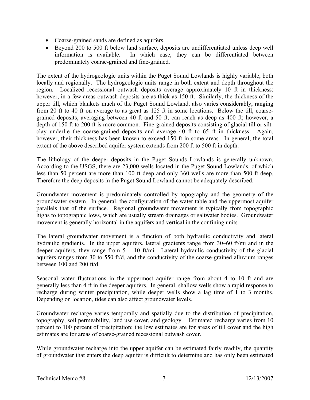- Coarse-grained sands are defined as aquifers.
- Beyond 200 to 500 ft below land surface, deposits are undifferentiated unless deep well information is available. In which case, they can be differentiated between predominately coarse-grained and fine-grained.

The extent of the hydrogeologic units within the Puget Sound Lowlands is highly variable, both locally and regionally. The hydrogeologic units range in both extent and depth throughout the region. Localized recessional outwash deposits average approximately 10 ft in thickness; however, in a few areas outwash deposits are as thick as 150 ft. Similarly, the thickness of the upper till, which blankets much of the Puget Sound Lowland, also varies considerably, ranging from 20 ft to 40 ft on average to as great as 125 ft in some locations. Below the till, coarsegrained deposits, averaging between 40 ft and 50 ft, can reach as deep as 400 ft; however, a depth of 150 ft to 200 ft is more common. Fine-grained deposits consisting of glacial till or siltclay underlie the coarse-grained deposits and average 40 ft to 65 ft in thickness. Again, however, their thickness has been known to exceed 150 ft in some areas. In general, the total extent of the above described aquifer system extends from 200 ft to 500 ft in depth.

The lithology of the deeper deposits in the Puget Sounds Lowlands is generally unknown. According to the USGS, there are 23,000 wells located in the Puget Sound Lowlands, of which less than 50 percent are more than 100 ft deep and only 360 wells are more than 500 ft deep. Therefore the deep deposits in the Puget Sound Lowland cannot be adequately described.

Groundwater movement is predominately controlled by topography and the geometry of the groundwater system. In general, the configuration of the water table and the uppermost aquifer parallels that of the surface. Regional groundwater movement is typically from topographic highs to topographic lows, which are usually stream drainages or saltwater bodies. Groundwater movement is generally horizontal in the aquifers and vertical in the confining units.

The lateral groundwater movement is a function of both hydraulic conductivity and lateral hydraulic gradients. In the upper aquifers, lateral gradients range from 30–60 ft/mi and in the deeper aquifers, they range from  $5 - 10$  ft/mi. Lateral hydraulic conductivity of the glacial aquifers ranges from 30 to 550 ft/d, and the conductivity of the coarse-grained alluvium ranges between 100 and 200 ft/d.

Seasonal water fluctuations in the uppermost aquifer range from about 4 to 10 ft and are generally less than 4 ft in the deeper aquifers. In general, shallow wells show a rapid response to recharge during winter precipitation, while deeper wells show a lag time of 1 to 3 months. Depending on location, tides can also affect groundwater levels.

Groundwater recharge varies temporally and spatially due to the distribution of precipitation, topography, soil permeability, land use cover, and geology. Estimated recharge varies from 10 percent to 100 percent of precipitation; the low estimates are for areas of till cover and the high estimates are for areas of coarse-grained recessional outwash cover.

While groundwater recharge into the upper aquifer can be estimated fairly readily, the quantity of groundwater that enters the deep aquifer is difficult to determine and has only been estimated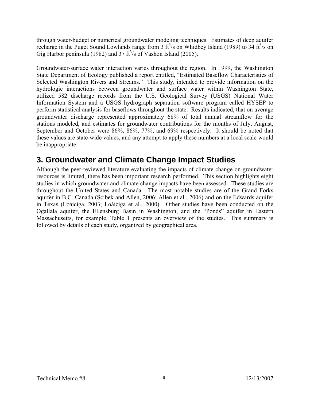through water-budget or numerical groundwater modeling techniques. Estimates of deep aquifer recharge in the Puget Sound Lowlands range from 3  $ft^3/s$  on Whidbey Island (1989) to 34  $ft^3/s$  on Gig Harbor peninsula (1982) and 37  $\text{ft}^3\text{/s}$  of Vashon Island (2005).

Groundwater-surface water interaction varies throughout the region. In 1999, the Washington State Department of Ecology published a report entitled, "Estimated Baseflow Characteristics of Selected Washington Rivers and Streams." This study, intended to provide information on the hydrologic interactions between groundwater and surface water within Washington State, utilized 582 discharge records from the U.S. Geological Survey (USGS) National Water Information System and a USGS hydrograph separation software program called HYSEP to perform statistical analysis for baseflows throughout the state. Results indicated, that on average groundwater discharge represented approximately 68% of total annual streamflow for the stations modeled, and estimates for groundwater contributions for the months of July, August, September and October were 86%, 86%, 77%, and 69% respectively. It should be noted that these values are state-wide values, and any attempt to apply these numbers at a local scale would be inappropriate.

# **3. Groundwater and Climate Change Impact Studies**

Although the peer-reviewed literature evaluating the impacts of climate change on groundwater resources is limited, there has been important research performed. This section highlights eight studies in which groundwater and climate change impacts have been assessed. These studies are throughout the United States and Canada. The most notable studies are of the Grand Forks aquifer in B.C. Canada (Scibek and Allen, 2006; Allen et al., 2006) and on the Edwards aquifer in Texas (Loáiciga, 2003; Loáiciga et al., 2000). Other studies have been conducted on the Ogallala aquifer, the Ellensburg Basin in Washington, and the "Ponds" aquifer in Eastern Massachusetts, for example. Table 1 presents an overview of the studies. This summary is followed by details of each study, organized by geographical area.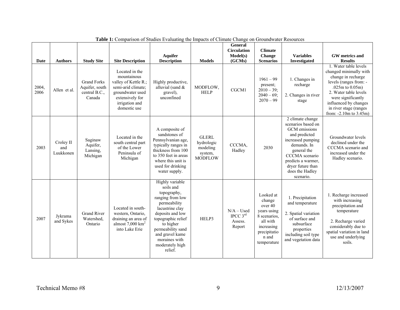| Date          | <b>Authors</b>                | <b>Study Site</b>                                               | <b>Site Description</b>                                                                                                                              | <b>Aquifer</b><br><b>Description</b>                                                                                                                                                                                                             | <b>Models</b>                                                       | <b>General</b><br><b>Circulation</b><br>Model(s)<br>(GCMs) | <b>Climate</b><br>Change<br><b>Scenarios</b>                                                                                    | <b>Variables</b><br>Investigated                                                                                                                                                                                         | GW metrics and<br><b>Results</b>                                                                                                                                                                                                                         |
|---------------|-------------------------------|-----------------------------------------------------------------|------------------------------------------------------------------------------------------------------------------------------------------------------|--------------------------------------------------------------------------------------------------------------------------------------------------------------------------------------------------------------------------------------------------|---------------------------------------------------------------------|------------------------------------------------------------|---------------------------------------------------------------------------------------------------------------------------------|--------------------------------------------------------------------------------------------------------------------------------------------------------------------------------------------------------------------------|----------------------------------------------------------------------------------------------------------------------------------------------------------------------------------------------------------------------------------------------------------|
| 2004,<br>2006 | Allen et al.                  | <b>Grand Forks</b><br>Aquifer, south<br>central B.C.,<br>Canada | Located in the<br>mountainous<br>valley of Kettle R.;<br>semi-arid climate;<br>groundwater used<br>extensively for<br>irrigation and<br>domestic use | Highly productive,<br>alluvial (sand $&$<br>gravel),<br>unconfined                                                                                                                                                                               | MODFLOW,<br><b>HELP</b>                                             | CGCM1                                                      | $1961 - 99$<br>present;<br>$2010 - 39$ ;<br>$2040 - 69$ ;<br>$2070 - 99$                                                        | 1. Changes in<br>recharge<br>2. Changes in river<br>stage                                                                                                                                                                | 1. Water table levels<br>changed minimally with<br>change in recharge<br>levels (ranges from: -<br>$.025m$ to $0.05m$ )<br>2. Water table levels<br>were significantly<br>influenced by changes<br>in river stage (ranges<br>from: $-2.10m$ to $3.45m$ ) |
| 2003          | Croley II<br>and<br>Luukkonen | Saginaw<br>Aquifer,<br>Lansing,<br>Michigan                     | Located in the<br>south central part<br>of the Lower<br>Peninsula of<br>Michigan                                                                     | A composite of<br>sandstones of<br>Pennsylvanian age,<br>typically ranges in<br>thickness from 100<br>to 350 feet in areas<br>where this unit is<br>used for drinking<br>water supply.                                                           | <b>GLERL</b><br>hydrologic<br>modeling<br>system,<br><b>MODFLOW</b> | CCCMA,<br>Hadley                                           | 2030                                                                                                                            | 2 climate change<br>scenarios based on<br>GCM emissions<br>and predicted<br>increased pumping<br>demands. In<br>general the<br>CCCMA scenario<br>predicts a warmer,<br>dryer future than<br>does the Hadley<br>scenario. | Groundwater levels<br>declined under the<br>CCCMA scenario and<br>increased under the<br>Hadley scenario.                                                                                                                                                |
| 2007          | Jykrama<br>and Sykes          | <b>Grand River</b><br>Watershed,<br>Ontario                     | Located in south-<br>western, Ontario,<br>draining an area of<br>almost $7,000$ km <sup>2</sup><br>into Lake Erie                                    | Highly variable<br>soils and<br>topography,<br>ranging from low<br>permeability<br>lacustrine clay<br>deposits and low<br>topographic relief<br>to higher<br>permeability sand<br>and gravel kame<br>moraines with<br>moderately high<br>relief. | HELP3                                                               | $N/A - Used$<br>IPCC $3^{rd}$<br>Assess.<br>Report         | Looked at<br>change<br>over 40<br>years using<br>8 scenarios,<br>all with<br>increasing<br>precipitatio<br>n and<br>temperature | 1. Precipitation<br>and temperature<br>2. Spatial variation<br>of surface and<br>subsurface<br>properties<br>including soil type<br>and vegetation data                                                                  | 1. Recharge increased<br>with increasing<br>precipitation and<br>temperature<br>2. Recharge varied<br>considerably due to<br>spatial variation in land<br>use and underlying<br>soils.                                                                   |

**Table 1:** Comparison of Studies Evaluating the Impacts of Climate Change on Groundwater Resources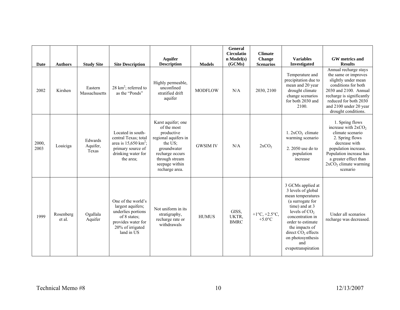| Date          | <b>Authors</b>      | <b>Study Site</b>            | <b>Site Description</b>                                                                                                                 | <b>Aquifer</b><br><b>Description</b>                                                                                                                                       | <b>Models</b>   | <b>General</b><br><b>Circulatio</b><br>n Model(s)<br>(GCMs) | <b>Climate</b><br>Change<br><b>Scenarios</b>                | <b>Variables</b><br><b>Investigated</b>                                                                                                                                                                                                                    | GW metrics and<br><b>Results</b>                                                                                                                                                                                              |
|---------------|---------------------|------------------------------|-----------------------------------------------------------------------------------------------------------------------------------------|----------------------------------------------------------------------------------------------------------------------------------------------------------------------------|-----------------|-------------------------------------------------------------|-------------------------------------------------------------|------------------------------------------------------------------------------------------------------------------------------------------------------------------------------------------------------------------------------------------------------------|-------------------------------------------------------------------------------------------------------------------------------------------------------------------------------------------------------------------------------|
| 2002          | Kirshen             | Eastern<br>Massachusetts     | 28 $km^2$ ; referred to<br>as the "Ponds"                                                                                               | Highly permeable,<br>unconfined<br>stratified drift<br>aquifer                                                                                                             | <b>MODFLOW</b>  | N/A                                                         | 2030, 2100                                                  | Temperature and<br>precipitation due to<br>mean and 20 year<br>drought climate<br>change scenarios<br>for both 2030 and<br>2100.                                                                                                                           | Annual recharge stays<br>the same or improves<br>slightly under mean<br>conditions for both<br>2030 and 2100. Annual<br>recharge is significantly<br>reduced for both 2030<br>and 2100 under 20 year<br>drought conditions.   |
| 2000,<br>2003 | Loaiciga            | Edwards<br>Aquifer,<br>Texas | Located in south-<br>central Texas; total<br>area is $15,650$ km <sup>2</sup> ;<br>primary source of<br>drinking water for<br>the area; | Karst aquifer; one<br>of the most<br>productive<br>regional aquifers in<br>the US;<br>groundwater<br>recharge occurs<br>through stream<br>seepage within<br>recharge area. | <b>GWSIM IV</b> | N/A                                                         | 2xCO <sub>2</sub>                                           | $1.2xCO2$ climate<br>warming scenario<br>2. 2050 use do to<br>population<br>increase                                                                                                                                                                       | 1. Spring flows<br>increase with 2xCO <sub>2</sub><br>climate scenario<br>2. Spring flows<br>decrease with<br>population increase.<br>Population increase has<br>a greater effect than<br>$2xCO2$ climate warming<br>scenario |
| 1999          | Rosenberg<br>et al. | Ogallala<br>Aquifer          | One of the world's<br>largest aquifers;<br>underlies portions<br>of 8 states:<br>provides water for<br>20% of irrigated<br>land in US   | Not uniform in its<br>stratigraphy,<br>recharge rate or<br>withdrawals                                                                                                     | <b>HUMUS</b>    | GISS,<br>UKTR,<br><b>BMRC</b>                               | + $1^{\circ}C, +2.5^{\circ}C,$<br>+5.0 $\mathrm{^{\circ}C}$ | 3 GCMs applied at<br>3 levels of global<br>mean temperatures<br>(a surrogate for<br>time) and at 3<br>levels of $CO2$<br>concentration in<br>order to estimate<br>the impacts of<br>direct $CO2$ effects<br>on photosynthesis<br>and<br>evapotranspiration | Under all scenarios<br>recharge was decreased.                                                                                                                                                                                |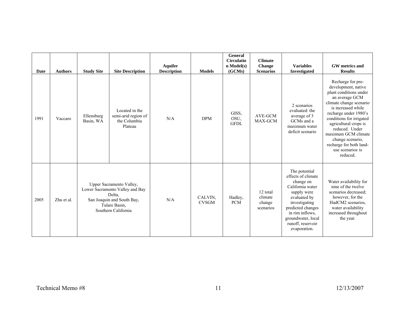| Date | <b>Authors</b> | <b>Study Site</b>       | <b>Site Description</b>                                                                                                                     | <b>Aquifer</b><br><b>Description</b> | <b>Models</b>           | General<br><b>Circulatio</b><br>$n$ Model(s)<br>(GCMs) | <b>Climate</b><br><b>Change</b><br><b>Scenarios</b> | <b>Variables</b><br>Investigated                                                                                                                                                                                        | GW metrics and<br><b>Results</b>                                                                                                                                                                                                                                                                                                            |
|------|----------------|-------------------------|---------------------------------------------------------------------------------------------------------------------------------------------|--------------------------------------|-------------------------|--------------------------------------------------------|-----------------------------------------------------|-------------------------------------------------------------------------------------------------------------------------------------------------------------------------------------------------------------------------|---------------------------------------------------------------------------------------------------------------------------------------------------------------------------------------------------------------------------------------------------------------------------------------------------------------------------------------------|
| 1991 | Vaccaro        | Ellensburg<br>Basin, WA | Located in the<br>semi-arid region of<br>the Columbia<br>Plateau                                                                            | N/A                                  | <b>DPM</b>              | GISS,<br>OSU,<br><b>GFDL</b>                           | AVE-GCM<br>MAX-GCM                                  | 2 scenarios<br>evaluated: the<br>average of 3<br>GCMs and a<br>maximum water<br>deficit scenario                                                                                                                        | Recharge for pre-<br>development, native<br>plant conditions under<br>an average GCM<br>climate change scenario<br>is increased while<br>recharge under 1980's<br>conditions for irrigated<br>agricultural crops is<br>reduced. Under<br>maximum GCM climate<br>change scenario,<br>recharge for both land-<br>use scenarios is<br>reduced. |
| 2005 | Zhu et al.     |                         | Upper Sacramento Valley,<br>Lower Sacramento Valley and Bay<br>Delta.<br>San Joaquin and South Bay,<br>Tulare Basin,<br>Southern California | N/A                                  | CALVIN,<br><b>CVSGM</b> | Hadley,<br><b>PCM</b>                                  | 12 total<br>climate<br>change<br>scenarios          | The potential<br>effects of climate<br>change on<br>California water<br>supply were<br>evaluated by<br>investigating<br>predicted changes<br>in rim inflows.<br>groundwater, local<br>runoff, reservoir<br>evaporation. | Water availability for<br>nine of the twelve<br>scenarios decreased:<br>however, for the<br>HadCM2 scenarios,<br>water availability<br>increased throughout<br>the year.                                                                                                                                                                    |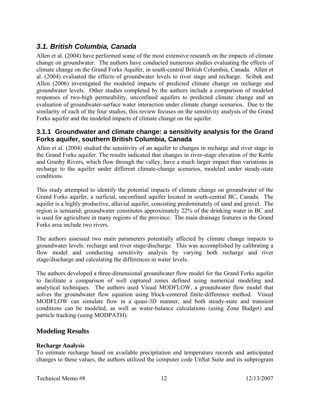# *3.1. British Columbia, Canada*

Allen et al. (2004) have performed some of the most extensive research on the impacts of climate change on groundwater. The authors have conducted numerous studies evaluating the effects of climate change on the Grand Forks Aquifer, in south-central British Columbia, Canada. Allen et al. (2004) evaluated the effects of groundwater levels to river stage and recharge. Scibek and Allen (2006) investigated the modeled impacts of predicted climate change on recharge and groundwater levels. Other studies completed by the authors include a comparison of modeled responses of two-high permeability, unconfined aquifers to predicted climate change and an evaluation of groundwater-surface water interaction under climate change scenarios. Due to the similarity of each of the four studies, this review focuses on the sensitivity analysis of the Grand Forks aquifer and the modeled impacts of climate change on the aquifer.

#### **3.1.1 Groundwater and climate change: a sensitivity analysis for the Grand Forks aquifer, southern British Columbia, Canada**

Allen et al. (2004) studied the sensitivity of an aquifer to changes in recharge and river stage in the Grand Forks aquifer. The results indicated that changes in river-stage elevation of the Kettle and Granby Rivers, which flow through the valley, have a much larger impact than variations in recharge to the aquifer under different climate-change scenarios, modeled under steady-state conditions.

This study attempted to identify the potential impacts of climate change on groundwater of the Grand Forks aquifer, a surficial, unconfined aquifer located in south-central BC, Canada. The aquifer is a highly productive, alluvial aquifer, consisting predominately of sand and gravel. The region is semiarid; groundwater constitutes approximately 22% of the drinking water in BC and is used for agriculture in many regions of the province. The main drainage features in the Grand Forks area include two rivers.

The authors assessed two main parameters potentially affected by climate change impacts to groundwater levels: recharge and river stage/discharge. This was accomplished by calibrating a flow model and conducting sensitivity analysis by varying both recharge and river stage/discharge and calculating the differences in water levels.

The authors developed a three-dimensional groundwater flow model for the Grand Forks aquifer to facilitate a comparison of well captured zones defined using numerical modeling and analytical techniques. The authors used Visual MODFLOW, a groundwater flow model that solves the groundwater flow equation using block-centered finite-difference method. Visual MODFLOW can simulate flow in a quasi-3D manner, and both steady-state and transient conditions can be modeled, as well as water-balance calculations (using Zone Budget) and particle tracking (using MODPATH).

### **Modeling Results**

#### **Recharge Analysis**

To estimate recharge based on available precipitation and temperature records and anticipated changes to these values, the authors utilized the computer code UnSat Suite and its subprogram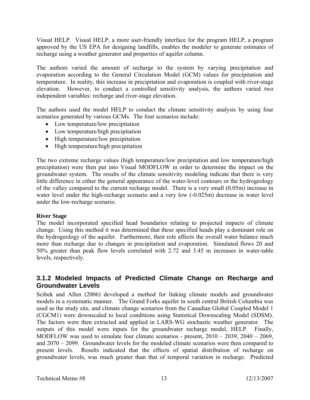Visual HELP. Visual HELP, a more user-friendly interface for the program HELP, a program approved by the US EPA for designing landfills, enables the modeler to generate estimates of recharge using a weather generator and properties of aquifer column.

The authors varied the amount of recharge to the system by varying precipitation and evaporation according to the General Circulation Model (GCM) values for precipitation and temperature. In reality, this increase in precipitation and evaporation is coupled with river-stage elevation. However, to conduct a controlled sensitivity analysis, the authors varied two independent variables: recharge and river-stage elevation.

The authors used the model HELP to conduct the climate sensitivity analysis by using four scenarios generated by various GCMs. The four scenarios include:

- Low temperature/low precipitation
- Low temperature/high precipitation
- High temperature/low precipitation
- High temperature/high precipitation

The two extreme recharge values (high temperature/low precipitation and low temperature/high precipitation) were then put into Visual MODFLOW in order to determine the impact on the groundwater system. The results of the climate sensitivity modeling indicate that there is very little difference in either the general appearance of the water-level contours or the hydrogeology of the valley compared to the current recharge model. There is a very small (0.05m) increase in water level under the high-recharge scenario and a very low  $(-0.025m)$  decrease in water level under the low-recharge scenario.

#### **River Stage**

The model incorporated specified head boundaries relating to projected impacts of climate change. Using this method it was determined that these specified heads play a dominant role on the hydrogeology of the aquifer. Furthermore, their role affects the overall water balance much more than recharge due to changes in precipitation and evaporation. Simulated flows 20 and 50% greater than peak flow levels correlated with 2.72 and 3.45 m increases in water-table levels, respectively.

### **3.1.2 Modeled Impacts of Predicted Climate Change on Recharge and Groundwater Levels**

Scibek and Allen (2006) developed a method for linking climate models and groundwater models in a systematic manner. The Grand Forks aquifer in south central British Columbia was used as the study site, and climate change scenarios from the Canadian Global Coupled Model 1 (CGCM1) were downscaled to local conditions using Statistical Downscaling Model (SDSM). The factors were then extracted and applied in LARS-WG stochastic weather generator. The outputs of this model were inputs for the groundwater recharge model, HELP. Finally, MODFLOW was used to simulate four climate scenarios - present, 2010 – 2039, 2040 – 2069, and 2070 – 2099. Groundwater levels for the modeled climate scenarios were then compared to present levels. Results indicated that the effects of spatial distribution of recharge on groundwater levels, was much greater than that of temporal variation in recharge. Predicted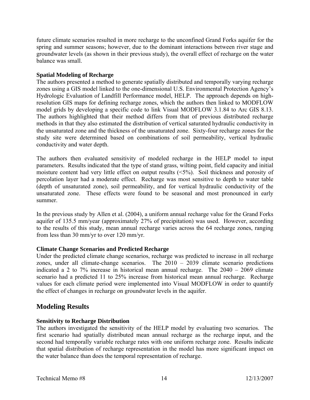future climate scenarios resulted in more recharge to the unconfined Grand Forks aquifer for the spring and summer seasons; however, due to the dominant interactions between river stage and groundwater levels (as shown in their previous study), the overall effect of recharge on the water balance was small.

#### **Spatial Modeling of Recharge**

The authors presented a method to generate spatially distributed and temporally varying recharge zones using a GIS model linked to the one-dimensional U.S. Environmental Protection Agency's Hydrologic Evaluation of Landfill Performance model, HELP. The approach depends on highresolution GIS maps for defining recharge zones, which the authors then linked to MODFLOW model grids by developing a specific code to link Visual MODFLOW 3.1.84 to Arc GIS 8.13. The authors highlighted that their method differs from that of previous distributed recharge methods in that they also estimated the distribution of vertical saturated hydraulic conductivity in the unsaturated zone and the thickness of the unsaturated zone. Sixty-four recharge zones for the study site were determined based on combinations of soil permeability, vertical hydraulic conductivity and water depth.

The authors then evaluated sensitivity of modeled recharge in the HELP model to input parameters. Results indicated that the type of stand grass, wilting point, field capacity and initial moisture content had very little effect on output results (<5%). Soil thickness and porosity of percolation layer had a moderate effect. Recharge was most sensitive to depth to water table (depth of unsaturated zone), soil permeability, and for vertical hydraulic conductivity of the unsaturated zone. These effects were found to be seasonal and most pronounced in early summer.

In the previous study by Allen et al. (2004), a uniform annual recharge value for the Grand Forks aquifer of 135.5 mm/year (approximately 27% of precipitation) was used. However, according to the results of this study, mean annual recharge varies across the 64 recharge zones, ranging from less than 30 mm/yr to over 120 mm/yr.

#### **Climate Change Scenarios and Predicted Recharge**

Under the predicted climate change scenarios, recharge was predicted to increase in all recharge zones, under all climate-change scenarios. The  $2010 - 2039$  climate scenario predictions indicated a 2 to 7% increase in historical mean annual recharge. The 2040 – 2069 climate scenario had a predicted 11 to 25% increase from historical mean annual recharge. Recharge values for each climate period were implemented into Visual MODFLOW in order to quantify the effect of changes in recharge on groundwater levels in the aquifer.

### **Modeling Results**

#### **Sensitivity to Recharge Distribution**

The authors investigated the sensitivity of the HELP model by evaluating two scenarios. The first scenario had spatially distributed mean annual recharge as the recharge input, and the second had temporally variable recharge rates with one uniform recharge zone. Results indicate that spatial distribution of recharge representation in the model has more significant impact on the water balance than does the temporal representation of recharge.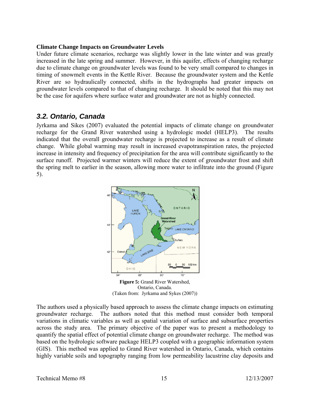#### **Climate Change Impacts on Groundwater Levels**

Under future climate scenarios, recharge was slightly lower in the late winter and was greatly increased in the late spring and summer. However, in this aquifer, effects of changing recharge due to climate change on groundwater levels was found to be very small compared to changes in timing of snowmelt events in the Kettle River. Because the groundwater system and the Kettle River are so hydraulically connected, shifts in the hydrographs had greater impacts on groundwater levels compared to that of changing recharge. It should be noted that this may not be the case for aquifers where surface water and groundwater are not as highly connected.

### *3.2. Ontario, Canada*

Jyrkama and Sikes (2007) evaluated the potential impacts of climate change on groundwater recharge for the Grand River watershed using a hydrologic model (HELP3). The results indicated that the overall groundwater recharge is projected to increase as a result of climate change. While global warming may result in increased evapotranspiration rates, the projected increase in intensity and frequency of precipitation for the area will contribute significantly to the surface runoff. Projected warmer winters will reduce the extent of groundwater frost and shift the spring melt to earlier in the season, allowing more water to infiltrate into the ground (Figure 5).



The authors used a physically based approach to assess the climate change impacts on estimating groundwater recharge. The authors noted that this method must consider both temporal variations in climatic variables as well as spatial variation of surface and subsurface properties across the study area. The primary objective of the paper was to present a methodology to quantify the spatial effect of potential climate change on groundwater recharge. The method was based on the hydrologic software package HELP3 coupled with a geographic information system (GIS). This method was applied to Grand River watershed in Ontario, Canada, which contains highly variable soils and topography ranging from low permeability lacustrine clay deposits and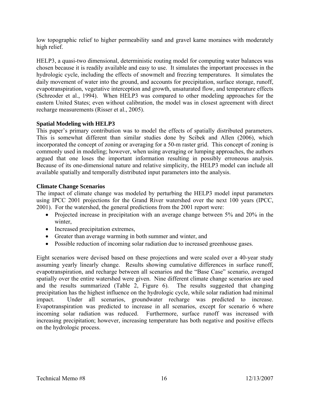low topographic relief to higher permeability sand and gravel kame moraines with moderately high relief.

HELP3, a quasi-two dimensional, deterministic routing model for computing water balances was chosen because it is readily available and easy to use. It simulates the important processes in the hydrologic cycle, including the effects of snowmelt and freezing temperatures. It simulates the daily movement of water into the ground, and accounts for precipitation, surface storage, runoff, evapotranspiration, vegetative interception and growth, unsaturated flow, and temperature effects (Schreoder et al., 1994). When HELP3 was compared to other modeling approaches for the eastern United States; even without calibration, the model was in closest agreement with direct recharge measurements (Risser et al., 2005).

#### **Spatial Modeling with HELP3**

This paper's primary contribution was to model the effects of spatially distributed parameters. This is somewhat different than similar studies done by Scibek and Allen (2006), which incorporated the concept of zoning or averaging for a 50-m raster grid. This concept of zoning is commonly used in modeling; however, when using averaging or lumping approaches, the authors argued that one loses the important information resulting in possibly erroneous analysis. Because of its one-dimensional nature and relative simplicity, the HELP3 model can include all available spatially and temporally distributed input parameters into the analysis.

#### **Climate Change Scenarios**

The impact of climate change was modeled by perturbing the HELP3 model input parameters using IPCC 2001 projections for the Grand River watershed over the next 100 years (IPCC, 2001). For the watershed, the general predictions from the 2001 report were:

- Projected increase in precipitation with an average change between 5% and 20% in the winter,
- Increased precipitation extremes,
- Greater than average warming in both summer and winter, and
- Possible reduction of incoming solar radiation due to increased greenhouse gases.

Eight scenarios were devised based on these projections and were scaled over a 40-year study assuming yearly linearly change. Results showing cumulative differences in surface runoff, evapotranspiration, and recharge between all scenarios and the "Base Case" scenario, averaged spatially over the entire watershed were given. Nine different climate change scenarios are used and the results summarized (Table 2, Figure 6). The results suggested that changing precipitation has the highest influence on the hydrologic cycle, while solar radiation had minimal impact. Under all scenarios, groundwater recharge was predicted to increase. Evapotranspiration was predicted to increase in all scenarios, except for scenario 6 where incoming solar radiation was reduced. Furthermore, surface runoff was increased with increasing precipitation; however, increasing temperature has both negative and positive effects on the hydrologic process.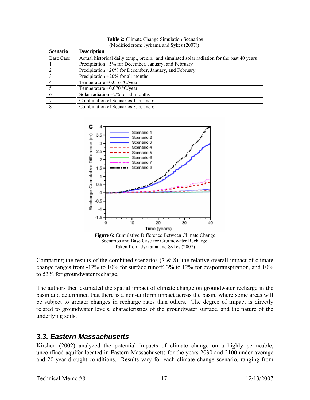| <b>Scenario</b> | <b>Description</b>                                                                          |
|-----------------|---------------------------------------------------------------------------------------------|
| Base Case       | Actual historical daily temp., precip., and simulated solar radiation for the past 40 years |
|                 | Precipitation +5% for December, January, and February                                       |
|                 | Precipitation +20% for December, January, and February                                      |
| 3               | Precipitation $+20\%$ for all months                                                        |
|                 | Temperature $+0.016$ °C/year                                                                |
|                 | Temperature $+0.070$ °C/year                                                                |
|                 | Solar radiation $+2\%$ for all months                                                       |
|                 | Combination of Scenarios 1, 5, and 6                                                        |
| 8               | Combination of Scenarios 3, 5, and 6                                                        |

**Table 2:** Climate Change Simulation Scenarios (Modified from: Jyrkama and Sykes (2007))



Comparing the results of the combined scenarios  $(7 \& 8)$ , the relative overall impact of climate change ranges from -12% to 10% for surface runoff, 3% to 12% for evapotranspiration, and 10% to 53% for groundwater recharge.

The authors then estimated the spatial impact of climate change on groundwater recharge in the basin and determined that there is a non-uniform impact across the basin, where some areas will be subject to greater changes in recharge rates than others. The degree of impact is directly related to groundwater levels, characteristics of the groundwater surface, and the nature of the underlying soils.

### *3.3. Eastern Massachusetts*

Kirshen (2002) analyzed the potential impacts of climate change on a highly permeable, unconfined aquifer located in Eastern Massachusetts for the years 2030 and 2100 under average and 20-year drought conditions. Results vary for each climate change scenario, ranging from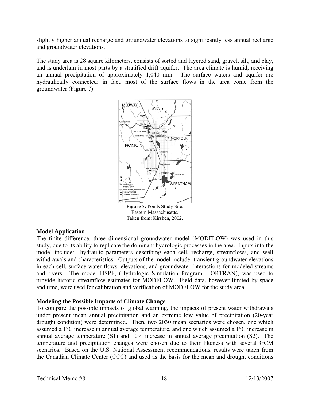slightly higher annual recharge and groundwater elevations to significantly less annual recharge and groundwater elevations.

The study area is 28 square kilometers, consists of sorted and layered sand, gravel, silt, and clay, and is underlain in most parts by a stratified drift aquifer. The area climate is humid, receiving an annual precipitation of approximately 1,040 mm. The surface waters and aquifer are hydraulically connected; in fact, most of the surface flows in the area come from the groundwater (Figure 7).



#### **Model Application**

The finite difference, three dimensional groundwater model (MODFLOW) was used in this study, due to its ability to replicate the dominant hydrologic processes in the area. Inputs into the model include: hydraulic parameters describing each cell, recharge, streamflows, and well withdrawals and characteristics. Outputs of the model include: transient groundwater elevations in each cell, surface water flows, elevations, and groundwater interactions for modeled streams and rivers. The model HSPF, (Hydrologic Simulation Program- FORTRAN), was used to provide historic streamflow estimates for MODFLOW. Field data, however limited by space and time, were used for calibration and verification of MODFLOW for the study area.

#### **Modeling the Possible Impacts of Climate Change**

To compare the possible impacts of global warming, the impacts of present water withdrawals under present mean annual precipitation and an extreme low value of precipitation (20-year drought condition) were determined. Then, two 2030 mean scenarios were chosen, one which assumed a 1°C increase in annual average temperature, and one which assumed a 1°C increase in annual average temperature (S1) and 10% increase in annual average precipitation (S2). The temperature and precipitation changes were chosen due to their likeness with several GCM scenarios. Based on the U.S. National Assessment recommendations, results were taken from the Canadian Climate Center (CCC) and used as the basis for the mean and drought conditions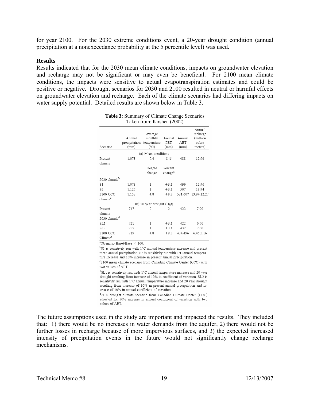for year 2100. For the 2030 extreme conditions event, a 20-year drought condition (annual precipitation at a nonexceedance probability at the 5 percentile level) was used.

#### **Results**

Results indicated that for the 2030 mean climate conditions, impacts on groundwater elevation and recharge may not be significant or may even be beneficial. For 2100 mean climate conditions, the impacts were sensitive to actual evapotranspiration estimates and could be positive or negative. Drought scenarios for 2030 and 2100 resulted in neutral or harmful effects on groundwater elevation and recharge. Each of the climate scenarios had differing impacts on water supply potential. Detailed results are shown below in Table 3.

| Scenario                                        | Annual<br>precipitation<br>(mm) | Average<br>monthly<br>temperature<br>(°C) | Annual<br>PET<br>(mm)          | Annual<br>AET<br>(mm) | Annual<br>recharge<br>(million<br>cubic<br>meters) |
|-------------------------------------------------|---------------------------------|-------------------------------------------|--------------------------------|-----------------------|----------------------------------------------------|
|                                                 |                                 | (a) Mean conditions                       |                                |                       |                                                    |
| Present<br>climate                              | 1,073                           | 9.4                                       | 846                            | 488                   | 12.96                                              |
|                                                 |                                 | Degree<br>change                          | Percent<br>change <sup>a</sup> |                       |                                                    |
| 2030 climate <sup>b</sup>                       |                                 |                                           |                                |                       |                                                    |
| S1                                              | 1,073                           | 1                                         | $+3.1$                         | 499                   | 12.96                                              |
| S <sub>2</sub>                                  | 1,127                           | 1                                         | $+31$                          | 507                   | 13.94                                              |
| 2100 CCC<br>climate <sup>c</sup>                | 1,153                           | 4.8                                       | $+9.3$                         | 531.607               | 13.94,12.27                                        |
|                                                 |                                 | (b) 20 year drought (Dgt)                 |                                |                       |                                                    |
| Present<br>climate<br>2030 climate <sup>d</sup> | 747                             | 0                                         | $\Omega$                       | 422                   | 7.00                                               |
| SL1                                             | 721                             | 1                                         | $+3.1$                         | 422                   | 6.50                                               |
| SL <sub>2</sub>                                 | 757                             | 1                                         | $+3.1$                         | 432                   | 7.00                                               |
| 2100 CCC<br>Climate <sup>e</sup>                | 719                             | 48                                        | $+9.3$                         | 434,496               | 6.45,5.16                                          |

| <b>Table 3:</b> Summary of Climate Change Scenarios |
|-----------------------------------------------------|
| Taken from: Kirshen (2002)                          |

<sup>a</sup>(Scenario-Base)/Base × 100.

<sup>b</sup>S1 is sensitivity run with 1°C annual temperature increase and present mean annual precipitation. S2 is sensitivity run with 1°C annual temperature increase and 10% increase in present annual precipitation.

°2100 mean climate scenario from Canadian Climate Center (CCC) with two values of AET.

 $\mathrm{d}$ SL1 is sensitivity run with 1°C annual temperature increase and 20 year drought resulting from increase of 10% in coefficient of variation. SL2 is sensitivity run with 1°C annual temperature increase and 20 year drought resulting from increase of 10% in present annual precipitation and increase of 10% in annual coefficient of variation.

e2100 drought climate scenario from Canadian Climate Center (CCC) adjusted for 30% increase in annual coefficient of variation with two values of AET.

The future assumptions used in the study are important and impacted the results. They included that: 1) there would be no increases in water demands from the aquifer, 2) there would not be further losses in recharge because of more impervious surfaces, and 3) the expected increased intensity of precipitation events in the future would not significantly change recharge mechanisms.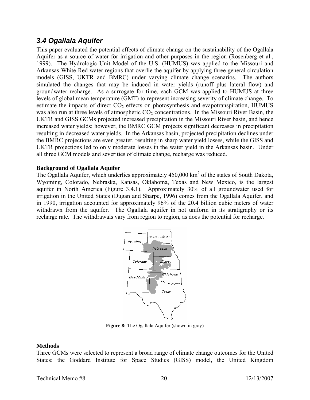## *3.4 Ogallala Aquifer*

This paper evaluated the potential effects of climate change on the sustainability of the Ogallala Aquifer as a source of water for irrigation and other purposes in the region (Rosenberg et al., 1999). The Hydrologic Unit Model of the U.S. (HUMUS) was applied to the Missouri and Arkansas-White-Red water regions that overlie the aquifer by applying three general circulation models (GISS, UKTR and BMRC) under varying climate change scenarios. The authors simulated the changes that may be induced in water yields (runoff plus lateral flow) and groundwater recharge. As a surrogate for time, each GCM was applied to HUMUS at three levels of global mean temperature (GMT) to represent increasing severity of climate change. To estimate the impacts of direct  $CO<sub>2</sub>$  effects on photosynthesis and evapotranspiration, HUMUS was also run at three levels of atmospheric  $CO<sub>2</sub>$  concentrations. In the Missouri River Basin, the UKTR and GISS GCMs projected increased precipitation in the Missouri River basin, and hence increased water yields; however, the BMRC GCM projects significant decreases in precipitation resulting in decreased water yields. In the Arkansas basin, projected precipitation declines under the BMRC projections are even greater, resulting in sharp water yield losses, while the GISS and UKTR projections led to only moderate losses in the water yield in the Arkansas basin. Under all three GCM models and severities of climate change, recharge was reduced.

#### **Background of Ogallala Aquifer**

The Ogallala Aquifer, which underlies approximately  $450,000 \text{ km}^2$  of the states of South Dakota, Wyoming, Colorado, Nebraska, Kansas, Oklahoma, Texas and New Mexico, is the largest aquifer in North America (Figure 3.4.1). Approximately 30% of all groundwater used for irrigation in the United States (Dugan and Sharpe, 1996) comes from the Ogallala Aquifer, and in 1990, irrigation accounted for approximately 96% of the 20.4 billion cubic meters of water withdrawn from the aquifer. The Ogallala aquifer in not uniform in its stratigraphy or its recharge rate. The withdrawals vary from region to region, as does the potential for recharge.



**Figure 8:** The Ogallala Aquifer (shown in gray)

#### **Methods**

Three GCMs were selected to represent a broad range of climate change outcomes for the United States: the Goddard Institute for Space Studies (GISS) model, the United Kingdom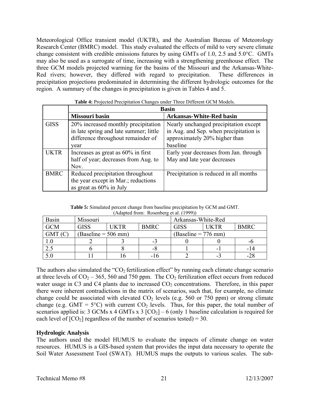Meteorological Office transient model (UKTR), and the Australian Bureau of Meteorology Research Center (BMRC) model. This study evaluated the effects of mild to very severe climate change consistent with credible emissions futures by using GMTs of 1.0, 2.5 and 5.0°C. GMTs may also be used as a surrogate of time, increasing with a strengthening greenhouse effect. The three GCM models projected warming for the basins of the Missouri and the Arkansas-White-Red rivers; however, they differed with regard to precipitation. These differences in precipitation projections predominated in determining the different hydrologic outcomes for the region. A summary of the changes in precipitation is given in Tables 4 and 5.

|             |                                        | <b>Basin</b>                           |  |  |
|-------------|----------------------------------------|----------------------------------------|--|--|
|             | <b>Missouri basin</b>                  | <b>Arkansas-White-Red basin</b>        |  |  |
| <b>GISS</b> | 20% increased monthly precipitation    | Nearly unchanged precipitation except  |  |  |
|             | in late spring and late summer; little | in Aug. and Sep. when precipitation is |  |  |
|             | difference throughout remainder of     | approximately 20% higher than          |  |  |
|             | vear                                   | baseline                               |  |  |
| UKTR        | Increases as great as $60\%$ in first  | Early year decreases from Jan. through |  |  |
|             | half of year; decreases from Aug. to   | May and late year decreases            |  |  |
|             | Nov.                                   |                                        |  |  |
| <b>BMRC</b> | Reduced precipitation throughout       | Precipitation is reduced in all months |  |  |
|             | the year except in Mar.; reductions    |                                        |  |  |
|             | as great as $60\%$ in July             |                                        |  |  |

**Table 4:** Projected Precipitation Changes under Three Different GCM Models.

| <b>Table 5:</b> Simulated percent change from baseline precipitation by GCM and GMT. |
|--------------------------------------------------------------------------------------|
| (Adapted from: Rosenberg et al. (1999))                                              |

| <b>Basin</b> | Missouri                           |               |             | Arkansas-White-Red    |         |             |  |
|--------------|------------------------------------|---------------|-------------|-----------------------|---------|-------------|--|
| <b>GCM</b>   | <b>GISS</b>                        | <b>I IKTR</b> | <b>BMRC</b> | <b>GISS</b>           | I IK TR | <b>BMRC</b> |  |
| GMT          | $\text{Baseline} = 506 \text{ mm}$ |               |             | $(Baseline = 776 mm)$ |         |             |  |
|              |                                    |               |             |                       |         |             |  |
| 2.5          |                                    |               | -0          |                       |         |             |  |
| 5.0          |                                    |               | -16         |                       |         | -18         |  |

The authors also simulated the " $CO<sub>2</sub>$  fertilization effect" by running each climate change scenario at three levels of  $CO_2 - 365$ , 560 and 750 ppm. The  $CO_2$  fertilization effect occurs from reduced water usage in C3 and C4 plants due to increased  $CO<sub>2</sub>$  concentrations. Therefore, in this paper there were inherent contradictions in the matrix of scenarios, such that, for example, no climate change could be associated with elevated  $CO<sub>2</sub>$  levels (e.g. 560 or 750 ppm) or strong climate change (e.g. GMT =  $5^{\circ}$ C) with current CO<sub>2</sub> levels. Thus, for this paper, the total number of scenarios applied is: 3 GCMs x 4 GMTs x 3  $[CO<sub>2</sub>] - 6$  (only 1 baseline calculation is required for each level of  $[CO_2]$  regardless of the number of scenarios tested) = 30.

#### **Hydrologic Analysis**

The authors used the model HUMUS to evaluate the impacts of climate change on water resources. HUMUS is a GIS-based system that provides the input data necessary to operate the Soil Water Assessment Tool (SWAT). HUMUS maps the outputs to various scales. The sub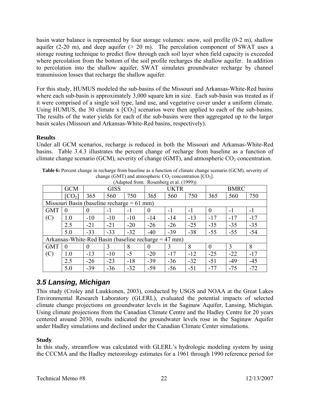basin water balance is represented by four storage volumes: snow, soil profile (0-2 m), shallow aquifer (2-20 m), and deep aquifer  $(> 20 \text{ m})$ . The percolation component of SWAT uses a storage routing technique to predict flow through each soil layer when field capacity is exceeded where percolation from the bottom of the soil profile recharges the shallow aquifer. In addition to percolation into the shallow aquifer, SWAT simulates groundwater recharge by channel transmission losses that recharge the shallow aquifer.

For this study, HUMUS modeled the sub-basins of the Missouri and Arkansas-White-Red basins where each sub-basin is approximately 3,000 square km in size. Each sub-basin was treated as if it were comprised of a single soil type, land use, and vegetative cover under a uniform climate. Using HUMUS, the 30 climate x  $[CO_2]$  scenarios were then applied to each of the sub-basins. The results of the water yields for each of the sub-basins were then aggregated up to the larger basin scales (Missouri and Arkansas-White-Red basins, respectively).

#### **Results**

Under all GCM scenarios, recharge is reduced in both the Missouri and Arkansas-White-Red basins. Table 3.4.3 illustrates the percent change of recharge from baseline as a function of climate change scenario (GCM), severity of change (GMT), and atmospheric  $CO<sub>2</sub>$  concentration.

|                                                        |                    |             |       |       | (Adapted Hom. Rosenberg et al. $(1999)$ ) |       |       |             |       |       |
|--------------------------------------------------------|--------------------|-------------|-------|-------|-------------------------------------------|-------|-------|-------------|-------|-------|
|                                                        | <b>GCM</b>         | <b>GISS</b> |       |       | <b>UKTR</b>                               |       |       | <b>BMRC</b> |       |       |
|                                                        | [CO <sub>2</sub> ] | 365         | 560   | 750   | 365                                       | 560   | 750   | 365         | 560   | 750   |
| Missouri Basin (baseline recharge $= 61$ mm)           |                    |             |       |       |                                           |       |       |             |       |       |
| <b>GMT</b>                                             | $\Omega$           | $\theta$    | $-1$  | $-1$  | $\theta$                                  | $-1$  | $-1$  | $\theta$    | $-1$  | $-1$  |
| (C)                                                    | 1.0                | $-10$       | $-10$ | $-10$ | $-14$                                     | $-14$ | $-13$ | $-17$       | $-17$ | $-17$ |
|                                                        | 2.5                | $-21$       | $-21$ | $-20$ | $-26$                                     | $-26$ | $-25$ | $-35$       | $-35$ | $-35$ |
|                                                        | 5.0                | $-33$       | $-33$ | $-32$ | $-40$                                     | $-39$ | $-38$ | $-55$       | $-55$ | $-54$ |
| Arkansas-White-Red Basin (baseline recharge $= 47$ mm) |                    |             |       |       |                                           |       |       |             |       |       |
| <b>GMT</b>                                             | $\Omega$           | 0           | 3     | 8     | $\Omega$                                  | 3     | 8     | $\theta$    | 3     | 8     |
| (C)                                                    | 1.0                | $-13$       | $-10$ | $-5$  | $-20$                                     | $-17$ | $-12$ | $-25$       | $-22$ | $-17$ |
|                                                        | 2.5                | $-26$       | $-23$ | $-18$ | $-39$                                     | $-36$ | $-32$ | $-51$       | $-49$ | $-45$ |
|                                                        | 5.0                | $-39$       | $-36$ | $-32$ | $-59$                                     | $-56$ | $-51$ | $-77$       | $-75$ | $-72$ |

**Table 6:** Percent change in recharge from baseline as a function of climate change scenario (GCM), severity of change (GMT) and atmospheric  $CO_2$  concentration  $[CO_2]$ .  $(A$ dapted from:  $\overline{D}$  exemperated  $(1000)$ 

# *3.5 Lansing, Michigan*

This study (Croley and Luukkonen, 2003), conducted by USGS and NOAA at the Great Lakes Environmental Research Laboratory (GLERL), evaluated the potential impacts of selected climate change projections on groundwater levels in the Saginaw Aquifer, Lansing, Michigan. Using climate projections from the Canadian Climate Centre and the Hadley Centre for 20 years centered around 2030, results indicated the groundwater levels rose in the Saginaw Aquifer under Hadley simulations and declined under the Canadian Climate Center simulations.

#### **Study**

In this study, streamflow was calculated with GLERL's hydrologic modeling system by using the CCCMA and the Hadley meteorology estimates for a 1961 through 1990 reference period for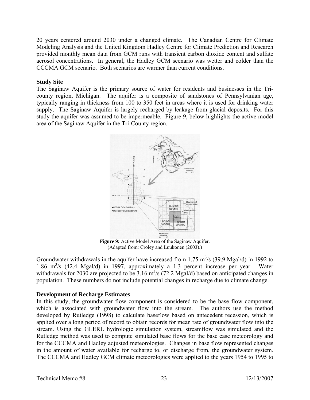20 years centered around 2030 under a changed climate. The Canadian Centre for Climate Modeling Analysis and the United Kingdom Hadley Centre for Climate Prediction and Research provided monthly mean data from GCM runs with transient carbon dioxide content and sulfate aerosol concentrations. In general, the Hadley GCM scenario was wetter and colder than the CCCMA GCM scenario. Both scenarios are warmer than current conditions.

#### **Study Site**

The Saginaw Aquifer is the primary source of water for residents and businesses in the Tricounty region, Michigan. The aquifer is a composite of sandstones of Pennsylvanian age, typically ranging in thickness from 100 to 350 feet in areas where it is used for drinking water supply. The Saginaw Aquifer is largely recharged by leakage from glacial deposits. For this study the aquifer was assumed to be impermeable. Figure 9, below highlights the active model area of the Saginaw Aquifer in the Tri-County region.



**Figure 9:** Active Model Area of the Saginaw Aquifer. (Adapted from: Croley and Luukonen (2003).)

Groundwater withdrawals in the aquifer have increased from 1.75  $\text{m}^3\text{/s}$  (39.9 Mgal/d) in 1992 to 1.86 m<sup>3</sup>/s (42.4 Mgal/d) in 1997, approximately a 1.3 percent increase per year. Water withdrawals for 2030 are projected to be 3.16  $\text{m}^3/\text{s}$  (72.2 Mgal/d) based on anticipated changes in population. These numbers do not include potential changes in recharge due to climate change.

#### **Development of Recharge Estimates**

In this study, the groundwater flow component is considered to be the base flow component, which is associated with groundwater flow into the stream. The authors use the method developed by Rutledge (1998) to calculate baseflow based on antecedent recession, which is applied over a long period of record to obtain records for mean rate of groundwater flow into the stream. Using the GLERL hydrologic simulation system, streamflow was simulated and the Rutledge method was used to compute simulated base flows for the base case meteorology and for the CCCMA and Hadley adjusted meteorologies. Changes in base flow represented changes in the amount of water available for recharge to, or discharge from, the groundwater system. The CCCMA and Hadley GCM climate meteorologies were applied to the years 1954 to 1995 to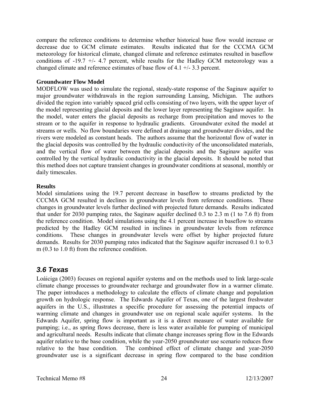compare the reference conditions to determine whether historical base flow would increase or decrease due to GCM climate estimates. Results indicated that for the CCCMA GCM meteorology for historical climate, changed climate and reference estimates resulted in baseflow conditions of -19.7 +/- 4.7 percent, while results for the Hadley GCM meteorology was a changed climate and reference estimates of base flow of 4.1 +/- 3.3 percent.

#### **Groundwater Flow Model**

MODFLOW was used to simulate the regional, steady-state response of the Saginaw aquifer to major groundwater withdrawals in the region surrounding Lansing, Michigan. The authors divided the region into variably spaced grid cells consisting of two layers, with the upper layer of the model representing glacial deposits and the lower layer representing the Saginaw aquifer. In the model, water enters the glacial deposits as recharge from precipitation and moves to the stream or to the aquifer in response to hydraulic gradients. Groundwater exited the model at streams or wells. No flow boundaries were defined at drainage and groundwater divides, and the rivers were modeled as constant heads. The authors assume that the horizontal flow of water in the glacial deposits was controlled by the hydraulic conductivity of the unconsolidated materials, and the vertical flow of water between the glacial deposits and the Saginaw aquifer was controlled by the vertical hydraulic conductivity in the glacial deposits. It should be noted that this method does not capture transient changes in groundwater conditions at seasonal, monthly or daily timescales.

#### **Results**

Model simulations using the 19.7 percent decrease in baseflow to streams predicted by the CCCMA GCM resulted in declines in groundwater levels from reference conditions. These changes in groundwater levels further declined with projected future demands. Results indicated that under for 2030 pumping rates, the Saginaw aquifer declined 0.3 to 2.3 m (1 to 7.6 ft) from the reference condition. Model simulations using the 4.1 percent increase in baseflow to streams predicted by the Hadley GCM resulted in inclines in groundwater levels from reference conditions. These changes in groundwater levels were offset by higher projected future demands. Results for 2030 pumping rates indicated that the Saginaw aquifer increased 0.1 to 0.3 m (0.3 to 1.0 ft) from the reference condition.

### *3.6 Texas*

Loáiciga (2003) focuses on regional aquifer systems and on the methods used to link large-scale climate change processes to groundwater recharge and groundwater flow in a warmer climate. The paper introduces a methodology to calculate the effects of climate change and population growth on hydrologic response. The Edwards Aquifer of Texas, one of the largest freshwater aquifers in the U.S., illustrates a specific procedure for assessing the potential impacts of warming climate and changes in groundwater use on regional scale aquifer systems. In the Edwards Aquifer, spring flow is important as it is a direct measure of water available for pumping; i.e., as spring flows decrease, there is less water available for pumping of municipal and agricultural needs. Results indicate that climate change increases spring flow in the Edwards aquifer relative to the base condition, while the year-2050 groundwater use scenario reduces flow relative to the base condition. The combined effect of climate change and year-2050 groundwater use is a significant decrease in spring flow compared to the base condition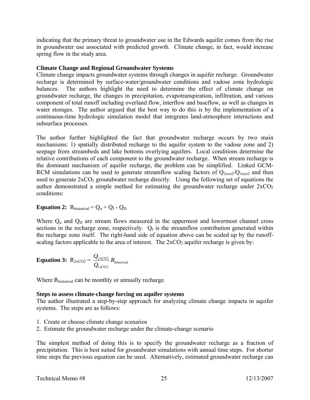indicating that the primary threat to groundwater use in the Edwards aquifer comes from the rise in groundwater use associated with predicted growth. Climate change, in fact, would increase spring flow in the study area.

#### **Climate Change and Regional Groundwater Systems**

Climate change impacts groundwater systems through changes in aquifer recharge. Groundwater recharge is determined by surface-water/groundwater conditions and vadose zone hydrologic balances. The authors highlight the need to determine the effect of climate change on groundwater recharge, the changes in precipitation, evapotranspiration, infiltration, and various component of total runoff including overland flow, interflow and baseflow, as well as changes in water storages. The author argued that the best way to do this is by the implementation of a continuous-time hydrologic simulation model that integrates land-atmosphere interactions and subsurface processes.

The author further highlighted the fact that groundwater recharge occurs by two main mechanisms: 1) spatially distributed recharge to the aquifer system to the vadose zone and 2) seepage from streambeds and lake bottoms overlying aquifers. Local conditions determine the relative contributions of each component to the groundwater recharge. When stream recharge is the dominant mechanism of aquifer recharge, the problem can be simplified. Linked GCM-RCM simulations can be used to generate streamflow scaling factors of  $Q_{2xco2}/Q_{1xco2}$  and then used to generate  $2xCO_2$  groundwater recharge directly. Using the following set of equations the author demonstrated a simple method for estimating the groundwater recharge under  $2xCO<sub>2</sub>$ conditions:

**Equation 2:** R<sub>historical</sub> =  $Q_u + Q_I - Q_D$ 

Where  $Q_u$  and  $Q_D$  are stream flows measured in the uppermost and lowermost channel cross sections in the recharge zone, respectively.  $Q<sub>I</sub>$  is the streamflow contribution generated within the recharge zone itself. The right-hand side of equation above can be scaled up by the runoffscaling factors applicable to the area of interest. The  $2xCO<sub>2</sub>$  aquifer recharge is given by:

**Equation 3:** 
$$
R_{2xCO2} = \frac{Q_{2xCO2}}{Q_{1xCO2}} R_{historical}
$$

Where R<sub>historical</sub> can be monthly or annually recharge.

#### **Steps to assess climate-change forcing on aquifer systems**

The author illustrated a step-by-step approach for analyzing climate change impacts in aquifer systems. The steps are as follows:

- 1. Create or choose climate change scenarios
- 2. Estimate the groundwater recharge under the climate-change scenario

The simplest method of doing this is to specify the groundwater recharge as a fraction of precipitation. This is best suited for groundwater simulations with annual time steps. For shorter time steps the previous equation can be used. Alternatively, estimated groundwater recharge can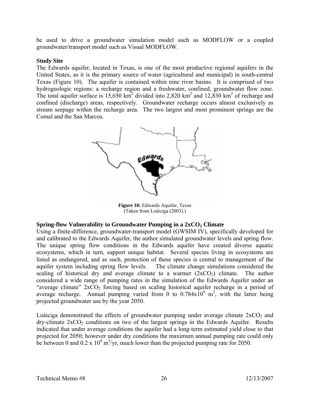be used to drive a groundwater simulation model such as MODFLOW or a coupled groundwater/transport model such as Visual MODFLOW.

#### **Study Site**

The Edwards aquifer, located in Texas, is one of the most productive regional aquifers in the United States, as it is the primary source of water (agricultural and municipal) in south-central Texas (Figure 10). The aquifer is contained within nine river basins. It is comprised of two hydrogeologic regions: a recharge region and a freshwater, confined, groundwater flow zone. The total aquifer surface is 15,650 km<sup>2</sup> divided into 2,820 km<sup>2</sup> and 12,830 km<sup>2</sup> of recharge and confined (discharge) areas, respectively. Groundwater recharge occurs almost exclusively as stream seepage within the recharge area. The two largest and most prominent springs are the Comal and the San Marcos.



**Figure 10:** Edwards Aquifer, Texas (Taken from Loáiciga (2003).)

#### **Spring-flow Vulnerability to Groundwater Pumping in a 2xCO<sub>2</sub> Climate**

Using a finite-difference, groundwater-transport model (GWSIM IV), specifically developed for and calibrated to the Edwards Aquifer, the author simulated groundwater levels and spring flow. The unique spring flow conditions in the Edwards aquifer have created diverse aquatic ecosystems, which in turn, support unique habitat. Several species living in ecosystems are listed as endangered, and as such, protection of these species is central to management of the aquifer system including spring flow levels. The climate change simulations considered the scaling of historical dry and average climate to a warmer  $(2xCO<sub>2</sub>)$  climate. The author considered a wide range of pumping rates in the simulation of the Edwards Aquifer under an "average climate"  $2xCO_2$  forcing based on scaling historical aquifer recharge in a period of average recharge. Annual pumping varied from 0 to  $0.784 \times 10^{9}$  m<sup>3</sup>, with the latter being projected groundwater use by the year 2050.

Loáiciga demonstrated the effects of groundwater pumping under average climate  $2xCO<sub>2</sub>$  and  $\frac{dy}{dx}$ -climate  $2xCO_2$  conditions on two of the largest springs in the Edwards Aquifer. Results indicated that under average conditions the aquifer had a long-term estimated yield close to that projected for 2050; however under dry conditions the maximum annual pumping rate could only be between 0 and  $0.2 \times 10^9$  m<sup>3</sup>/yr, much lower than the projected pumping rate for 2050.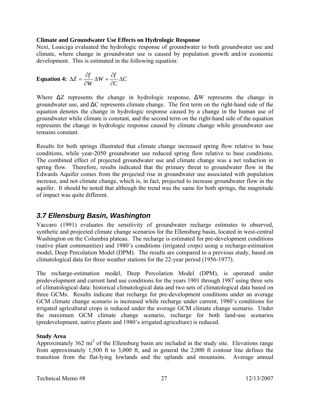#### **Climate and Groundwater Use Effects on Hydrologic Response**

Next, Loaiciga evaluated the hydrologic response of groundwater to both groundwater use and climate, where change in groundwater use is caused by population growth and/or economic development. This is estimated in the following equation:

**Equation 4:** 
$$
\Delta Z = \frac{\partial f}{\partial W} \Delta W + \frac{\partial f}{\partial C} \Delta C
$$

Where  $\Delta Z$  represents the change in hydrologic response,  $\Delta W$  represents the change in groundwater use, and ΔC represents climate change. The first term on the right-hand side of the equation denotes the change in hydrologic response caused by a change in the human use of groundwater while climate is constant, and the second term on the right-hand side of the equation represents the change in hydrologic response caused by climate change while groundwater use remains constant.

Results for both springs illustrated that climate change increased spring flow relative to base conditions, while year-2050 groundwater use reduced spring flow relative to base conditions. The combined effect of projected groundwater use and climate change was a net reduction in spring flow. Therefore, results indicated that the primary threat to groundwater flow in the Edwards Aquifer comes from the projected rise in groundwater use associated with population increase, and not climate change, which is, in fact, projected to increase groundwater flow in the aquifer. It should be noted that although the trend was the same for both springs, the magnitude of impact was quite different.

### *3.7 Ellensburg Basin, Washington*

Vaccaro (1991) evaluates the sensitivity of groundwater recharge estimates to observed, synthetic and projected climate change scenarios for the Ellensburg basin, located in west-central Washington on the Columbia plateau. The recharge is estimated for pre-development conditions (native plant communities) and 1980's conditions (irrigated crops) using a recharge-estimation model, Deep Percolation Model (DPM). The results are compared to a previous study, based on climatological data for three weather stations for the 22-year period (1956-1977).

The recharge-estimation model, Deep Percolation Model (DPM), is operated under predevelopment and current land use conditions for the years 1901 through 1987 using three sets of climatological data: historical climatological data and two sets of climatological data based on three GCMs. Results indicate that recharge for pre-development conditions under an average GCM climate change scenario is increased while recharge under current, 1980's conditions for irrigated agricultural crops is reduced under the average GCM climate change scenario. Under the maximum GCM climate change scenario, recharge for both land-use scenarios (predevelopment, native plants and 1980's irrigated agriculture) is reduced.

#### **Study Area**

Approximately 362 mi<sup>2</sup> of the Ellensburg basin are included in the study site. Elevations range from approximately 1,500 ft to 3,000 ft, and in general the 2,000 ft contour line defines the transition from the flat-lying lowlands and the uplands and mountains. Average annual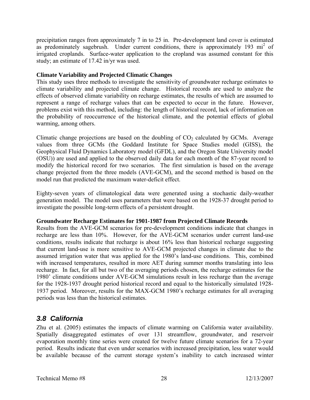precipitation ranges from approximately 7 in to 25 in. Pre-development land cover is estimated as predominately sagebrush. Under current conditions, there is approximately 193 mi<sup>2</sup> of irrigated croplands. Surface-water application to the cropland was assumed constant for this study; an estimate of 17.42 in/yr was used.

#### **Climate Variability and Projected Climatic Changes**

This study uses three methods to investigate the sensitivity of groundwater recharge estimates to climate variability and projected climate change. Historical records are used to analyze the effects of observed climate variability on recharge estimates, the results of which are assumed to represent a range of recharge values that can be expected to occur in the future. However, problems exist with this method, including: the length of historical record, lack of information on the probability of reoccurrence of the historical climate, and the potential effects of global warming, among others.

Climatic change projections are based on the doubling of  $CO<sub>2</sub>$  calculated by GCMs. Average values from three GCMs (the Goddard Institute for Space Studies model (GISS), the Geophysical Fluid Dynamics Laboratory model (GFDL), and the Oregon State University model (OSU)) are used and applied to the observed daily data for each month of the 87-year record to modify the historical record for two scenarios. The first simulation is based on the average change projected from the three models (AVE-GCM), and the second method is based on the model run that predicted the maximum water-deficit effect.

Eighty-seven years of climatological data were generated using a stochastic daily-weather generation model. The model uses parameters that were based on the 1928-37 drought period to investigate the possible long-term effects of a persistent drought.

#### **Groundwater Recharge Estimates for 1901-1987 from Projected Climate Records**

Results from the AVE-GCM scenarios for pre-development conditions indicate that changes in recharge are less than 10%. However, for the AVE-GCM scenarios under current land-use conditions, results indicate that recharge is about 16% less than historical recharge suggesting that current land-use is more sensitive to AVE-GCM projected changes in climate due to the assumed irrigation water that was applied for the 1980's land-use conditions. This, combined with increased temperatures, resulted in more AET during summer months translating into less recharge. In fact, for all but two of the averaging periods chosen, the recharge estimates for the 1980' climate conditions under AVE-GCM simulations result in less recharge than the average for the 1928-1937 drought period historical record and equal to the historically simulated 1928- 1937 period. Moreover, results for the MAX-GCM 1980's recharge estimates for all averaging periods was less than the historical estimates.

# *3.8 California*

Zhu et al. (2005) estimates the impacts of climate warming on California water availability. Spatially disaggregated estimates of over 131 streamflow, groundwater, and reservoir evaporation monthly time series were created for twelve future climate scenarios for a 72-year period. Results indicate that even under scenarios with increased precipitation, less water would be available because of the current storage system's inability to catch increased winter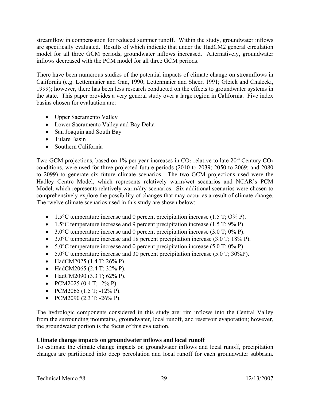streamflow in compensation for reduced summer runoff. Within the study, groundwater inflows are specifically evaluated. Results of which indicate that under the HadCM2 general circulation model for all three GCM periods, groundwater inflows increased. Alternatively, groundwater inflows decreased with the PCM model for all three GCM periods.

There have been numerous studies of the potential impacts of climate change on streamflows in California (e.g. Lettenmaier and Gan, 1990; Lettenmaier and Sheer, 1991; Gleick and Chalecki, 1999); however, there has been less research conducted on the effects to groundwater systems in the state. This paper provides a very general study over a large region in California. Five index basins chosen for evaluation are:

- Upper Sacramento Valley
- Lower Sacramento Valley and Bay Delta
- San Joaquin and South Bay
- Tulare Basin
- Southern California

Two GCM projections, based on 1% per year increases in  $CO<sub>2</sub>$  relative to late 20<sup>th</sup> Century  $CO<sub>2</sub>$ conditions, were used for three projected future periods (2010 to 2039; 2050 to 2069; and 2080 to 2099) to generate six future climate scenarios. The two GCM projections used were the Hadley Centre Model, which represents relatively warm/wet scenarios and NCAR's PCM Model, which represents relatively warm/dry scenarios. Six additional scenarios were chosen to comprehensively explore the possibility of changes that may occur as a result of climate change. The twelve climate scenarios used in this study are shown below:

- 1.5 $\degree$ C temperature increase and 0 percent precipitation increase (1.5 T; O% P).
- 1.5 $\degree$ C temperature increase and 9 percent precipitation increase (1.5 T; 9% P).
- 3.0 $\degree$ C temperature increase and 0 percent precipitation increase (3.0 T; 0% P).
- 3.0 $^{\circ}$ C temperature increase and 18 percent precipitation increase (3.0 T; 18% P).
- 5.0 $^{\circ}$ C temperature increase and 0 percent precipitation increase (5.0 T; 0% P).
- $5.0^{\circ}$ C temperature increase and 30 percent precipitation increase (5.0 T; 30%P).
- HadCM2025 (1.4 T; 26% P).
- HadCM2065 (2.4 T; 32% P).
- HadCM2090 (3.3 T; 62% P).
- PCM2025 (0.4 T;  $-2\%$  P).
- PCM2065 (1.5 T;  $-12\%$  P).
- PCM2090 (2.3 T;  $-26\%$  P).

The hydrologic components considered in this study are: rim inflows into the Central Valley from the surrounding mountains, groundwater, local runoff, and reservoir evaporation; however, the groundwater portion is the focus of this evaluation.

#### **Climate change impacts on groundwater inflows and local runoff**

To estimate the climate change impacts on groundwater inflows and local runoff, precipitation changes are partitioned into deep percolation and local runoff for each groundwater subbasin.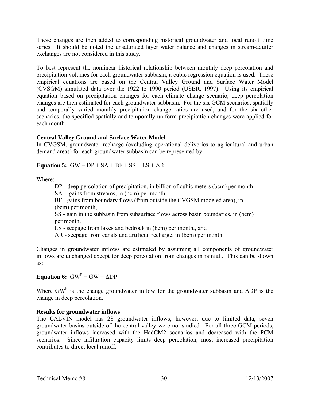These changes are then added to corresponding historical groundwater and local runoff time series. It should be noted the unsaturated layer water balance and changes in stream-aquifer exchanges are not considered in this study.

To best represent the nonlinear historical relationship between monthly deep percolation and precipitation volumes for each groundwater subbasin, a cubic regression equation is used. These empirical equations are based on the Central Valley Ground and Surface Water Model (CVSGM) simulated data over the 1922 to 1990 period (USBR, 1997). Using its empirical equation based on precipitation changes for each climate change scenario, deep percolation changes are then estimated for each groundwater subbasin. For the six GCM scenarios, spatially and temporally varied monthly precipitation change ratios are used, and for the six other scenarios, the specified spatially and temporally uniform precipitation changes were applied for each month.

#### **Central Valley Ground and Surface Water Model**

In CVGSM, groundwater recharge (excluding operational deliveries to agricultural and urban demand areas) for each groundwater subbasin can be represented by:

#### **Equation 5:**  $GW = DP + SA + BF + SS + LS + AR$

Where:

DP - deep percolation of precipitation, in billion of cubic meters (bcm) per month

SA - gains from streams, in (bcm) per month,

 BF - gains from boundary flows (from outside the CVGSM modeled area), in (bcm) per month,

 SS - gain in the subbasin from subsurface flows across basin boundaries, in (bcm) per month,

LS - seepage from lakes and bedrock in (bcm) per month,, and

AR - seepage from canals and artificial recharge, in (bcm) per month,

Changes in groundwater inflows are estimated by assuming all components of groundwater inflows are unchanged except for deep percolation from changes in rainfall. This can be shown as:

#### **Equation 6:**  $GW^P = GW + \Delta DP$

Where GW<sup>P</sup> is the change groundwater inflow for the groundwater subbasin and  $\Delta DP$  is the change in deep percolation.

#### **Results for groundwater inflows**

The CALVIN model has 28 groundwater inflows; however, due to limited data, seven groundwater basins outside of the central valley were not studied. For all three GCM periods, groundwater inflows increased with the HadCM2 scenarios and decreased with the PCM scenarios. Since infiltration capacity limits deep percolation, most increased precipitation contributes to direct local runoff.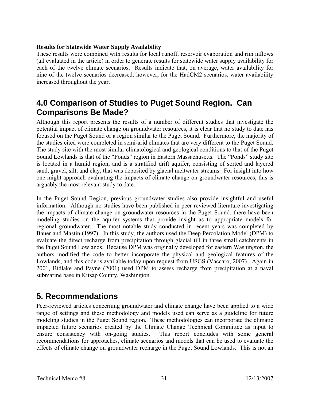#### **Results for Statewide Water Supply Availability**

These results were combined with results for local runoff, reservoir evaporation and rim inflows (all evaluated in the article) in order to generate results for statewide water supply availability for each of the twelve climate scenarios. Results indicate that, on average, water availability for nine of the twelve scenarios decreased; however, for the HadCM2 scenarios, water availability increased throughout the year.

# **4.0 Comparison of Studies to Puget Sound Region. Can Comparisons Be Made?**

Although this report presents the results of a number of different studies that investigate the potential impact of climate change on groundwater resources, it is clear that no study to date has focused on the Puget Sound or a region similar to the Puget Sound. Furthermore, the majority of the studies cited were completed in semi-arid climates that are very different to the Puget Sound. The study site with the most similar climatological and geological conditions to that of the Puget Sound Lowlands is that of the "Ponds" region in Eastern Massachusetts. The "Ponds" study site is located in a humid region, and is a stratified drift aquifer, consisting of sorted and layered sand, gravel, silt, and clay, that was deposited by glacial meltwater streams. For insight into how one might approach evaluating the impacts of climate change on groundwater resources, this is arguably the most relevant study to date.

In the Puget Sound Region, previous groundwater studies also provide insightful and useful information. Although no studies have been published in peer reviewed literature investigating the impacts of climate change on groundwater resources in the Puget Sound, there have been modeling studies on the aquifer systems that provide insight as to appropriate models for regional groundwater. The most notable study conducted in recent years was completed by Bauer and Mastin (1997). In this study, the authors used the Deep Percolation Model (DPM) to evaluate the direct recharge from precipitation through glacial till in three small catchments in the Puget Sound Lowlands. Because DPM was originally developed for eastern Washington, the authors modified the code to better incorporate the physical and geological features of the Lowlands, and this code is available today upon request from USGS (Vaccaro, 2007). Again in 2001, Bidlake and Payne (2001) used DPM to assess recharge from precipitation at a naval submarine base in Kitsap County, Washington.

# **5. Recommendations**

Peer-reviewed articles concerning groundwater and climate change have been applied to a wide range of settings and these methodology and models used can serve as a guideline for future modeling studies in the Puget Sound region. These methodologies can incorporate the climatic impacted future scenarios created by the Climate Change Technical Committee as input to ensure consistency with on-going studies. This report concludes with some general recommendations for approaches, climate scenarios and models that can be used to evaluate the effects of climate change on groundwater recharge in the Puget Sound Lowlands. This is not an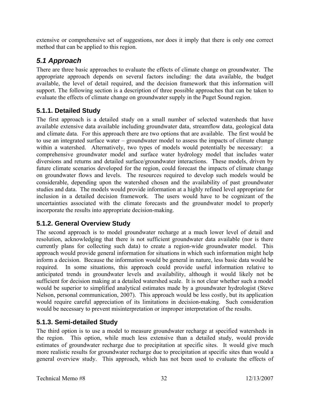extensive or comprehensive set of suggestions, nor does it imply that there is only one correct method that can be applied to this region.

# *5.1 Approach*

There are three basic approaches to evaluate the effects of climate change on groundwater. The appropriate approach depends on several factors including: the data available, the budget available, the level of detail required, and the decision framework that this information will support. The following section is a description of three possible approaches that can be taken to evaluate the effects of climate change on groundwater supply in the Puget Sound region.

# **5.1.1. Detailed Study**

The first approach is a detailed study on a small number of selected watersheds that have available extensive data available including groundwater data, streamflow data, geological data and climate data. For this approach there are two options that are available. The first would be to use an integrated surface water – groundwater model to assess the impacts of climate change within a watershed. Alternatively, two types of models would potentially be necessary: a comprehensive groundwater model and surface water hydrology model that includes water diversions and returns and detailed surface/groundwater interactions. These models, driven by future climate scenarios developed for the region, could forecast the impacts of climate change on groundwater flows and levels. The resources required to develop such models would be considerable, depending upon the watershed chosen and the availability of past groundwater studies and data. The models would provide information at a highly refined level appropriate for inclusion in a detailed decision framework. The users would have to be cognizant of the uncertainties associated with the climate forecasts and the groundwater model to properly incorporate the results into appropriate decision-making.

### **5.1.2. General Overview Study**

The second approach is to model groundwater recharge at a much lower level of detail and resolution, acknowledging that there is not sufficient groundwater data available (nor is there currently plans for collecting such data) to create a region-wide groundwater model. This approach would provide general information for situations in which such information might help inform a decision. Because the information would be general in nature, less basic data would be required. In some situations, this approach could provide useful information relative to anticipated trends in groundwater levels and availability, although it would likely not be sufficient for decision making at a detailed watershed scale. It is not clear whether such a model would be superior to simplified analytical estimates made by a groundwater hydrologist (Steve Nelson, personal communication, 2007). This approach would be less costly, but its application would require careful appreciation of its limitations in decision-making. Such consideration would be necessary to prevent misinterpretation or improper interpretation of the results.

# **5.1.3. Semi-detailed Study**

The third option is to use a model to measure groundwater recharge at specified watersheds in the region. This option, while much less extensive than a detailed study, would provide estimates of groundwater recharge due to precipitation at specific sites. It would give much more realistic results for groundwater recharge due to precipitation at specific sites than would a general overview study. This approach, which has not been used to evaluate the effects of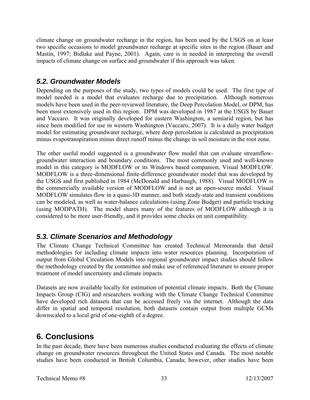climate change on groundwater recharge in the region, has been used by the USGS on at least two specific occasions to model groundwater recharge at specific sites in the region (Bauer and Mastin, 1997; Bidlake and Payne, 2001). Again, care is in needed in interpreting the overall impacts of climate change on surface and groundwater if this approach was taken.

# *5.2. Groundwater Models*

Depending on the purposes of the study, two types of models could be used. The first type of model needed is a model that evaluates recharge due to precipitation. Although numerous models have been used in the peer-reviewed literature, the Deep Percolation Model, or DPM, has been most extensively used in this region. DPM was developed in 1987 at the USGS by Bauer and Vaccaro. It was originally developed for eastern Washington, a semiarid region, but has since been modified for use in western Washington (Vaccaro, 2007). It is a daily water budget model for estimating groundwater recharge, where deep percolation is calculated as precipitation minus evapotranspiration minus direct runoff minus the change in soil moisture in the root zone.

The other useful model suggested is a groundwater flow model that can evaluate streamflowgroundwater interaction and boundary conditions. The most commonly used and well-known model in this category is MODFLOW or its Windows based companion, Visual MODFLOW. MODFLOW is a three-dimensional finite-difference groundwater model that was developed by the USGS and first published in 1984 (McDonald and Harbaugh, 1988). Visual MODFLOW is the commercially available version of MODFLOW and is not an open-source model. Visual MODFLOW simulates flow in a quasi-3D manner, and both steady-state and transient conditions can be modeled, as well as water-balance calculations (using Zone Budget) and particle tracking (using MODPATH). The model shares many of the features of MODFLOW although it is considered to be more user-friendly, and it provides some checks on unit compatibility.

# *5.3. Climate Scenarios and Methodology*

The Climate Change Technical Committee has created Technical Memoranda that detail methodologies for including climate impacts into water resources planning. Incorporation of output from Global Circulation Models into regional groundwater impact studies should follow the methodology created by the committee and make use of referenced literature to ensure proper treatment of model uncertainty and climate impacts.

Datasets are now available locally for estimation of potential climate impacts. Both the Climate Impacts Group (CIG) and researchers working with the Climate Change Technical Committee have developed rich datasets that can be accessed freely via the internet. Although the data differ in spatial and temporal resolution, both datasets contain output from multiple GCMs downscaled to a local grid of one-eighth of a degree.

# **6. Conclusions**

In the past decade, there have been numerous studies conducted evaluating the effects of climate change on groundwater resources throughout the United States and Canada. The most notable studies have been conducted in British Columbia, Canada; however, other studies have been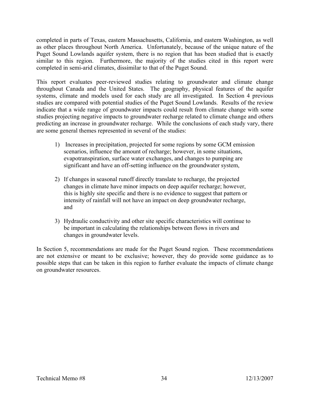completed in parts of Texas, eastern Massachusetts, California, and eastern Washington, as well as other places throughout North America. Unfortunately, because of the unique nature of the Puget Sound Lowlands aquifer system, there is no region that has been studied that is exactly similar to this region. Furthermore, the majority of the studies cited in this report were completed in semi-arid climates, dissimilar to that of the Puget Sound.

This report evaluates peer-reviewed studies relating to groundwater and climate change throughout Canada and the United States. The geography, physical features of the aquifer systems, climate and models used for each study are all investigated. In Section 4 previous studies are compared with potential studies of the Puget Sound Lowlands. Results of the review indicate that a wide range of groundwater impacts could result from climate change with some studies projecting negative impacts to groundwater recharge related to climate change and others predicting an increase in groundwater recharge. While the conclusions of each study vary, there are some general themes represented in several of the studies:

- 1) Increases in precipitation, projected for some regions by some GCM emission scenarios, influence the amount of recharge; however, in some situations, evapotranspiration, surface water exchanges, and changes to pumping are significant and have an off-setting influence on the groundwater system,
- 2) If changes in seasonal runoff directly translate to recharge, the projected changes in climate have minor impacts on deep aquifer recharge; however, this is highly site specific and there is no evidence to suggest that pattern or intensity of rainfall will not have an impact on deep groundwater recharge, and
- 3) Hydraulic conductivity and other site specific characteristics will continue to be important in calculating the relationships between flows in rivers and changes in groundwater levels.

In Section 5, recommendations are made for the Puget Sound region. These recommendations are not extensive or meant to be exclusive; however, they do provide some guidance as to possible steps that can be taken in this region to further evaluate the impacts of climate change on groundwater resources.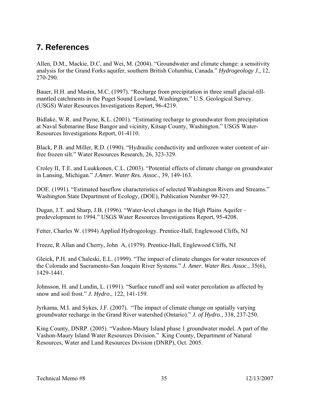# **7. References**

Allen, D.M., Mackie, D.C, and Wei, M. (2004). "Groundwater and climate change: a sensitivity analysis for the Grand Forks aquifer, southern British Columbia, Canada." *Hydrogeology J.,* 12, 270-290.

Bauer, H.H. and Mastin, M.C. (1997). "Recharge from precipitation in three small glacial-tillmantled catchments in the Puget Sound Lowland, Washington." U.S. Geological Survey. (USGS) Water Resources Investigations Report, 96-4219.

Bidlake, W.R. and Payne, K.L. (2001). "Estimating recharge to groundwater from precipitation at Naval Submarine Base Bangor and vicinity, Kitsap County, Washington." USGS Water-Resources Investigations Report, 01-4110.

Black, P.B. and Miller, R.D. (1990). "Hydraulic conductivity and unfrozen water content of airfree frozen silt." Water Resources Research, 26, 323-329.

Croley II, T.E. and Luukkonen, C.L. (2003). "Potential effects of climate change on groundwater in Lansing, Michigan." *J.Amer. Water Res. Assoc*., 39, 149-163.

DOE. (1991). "Estimated baseflow characteristics of selected Washington Rivers and Streams." Washington State Department of Ecology, (DOE), Publication Number 99-327.

Dugan, J.T. and Sharp, J.B. (1996). "Water-level changes in the High Plains Aquifer – predevelopment to 1994." USGS Water Resources Investigations Report, 95-4208.

Fetter, Charles W. (1994) Applied Hydrogeology. Prentice-Hall, Englewood Cliffs, NJ

Freeze, R Allan and Cherry, John A, (1979). Prentice-Hall, Englewood Cliffs, NJ

Gleick, P.H. and Chaleski, E.L. (1999). "The impact of climate changes for water resources of the Colorado and Sacramento-San Joaquin River Systems." *J. Amer. Water Res. Assoc*., 35(6), 1429-1441.

Johnsson, H. and Lundin, L. (1991). "Surface runoff and soil water percolation as affected by snow and soil frost." *J. Hydro*., 122, 141-159.

Jyrkama, M.I. and Sykes, J.F. (2007). "The impact of climate change on spatially varying groundwater recharge in the Grand River watershed (Ontario)." *J. of Hydro*., 338, 237-250.

King County, DNRP. (2005). "Vashon-Maury Island phase 1 groundwater model. A part of the Vashon-Maury Island Water Resources Division." King County, Department of Natural Resources, Water and Land Resources Division (DNRP), Oct. 2005.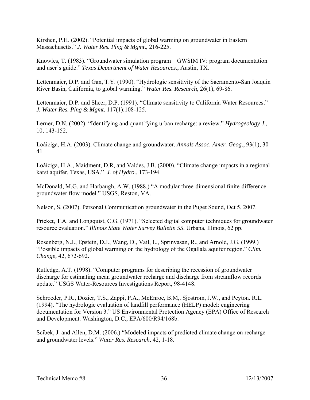Kirshen, P.H. (2002). "Potential impacts of global warming on groundwater in Eastern Massachusetts." *J. Water Res. Plng & Mgmt*., 216-225.

Knowles, T. (1983). "Groundwater simulation program – GWSIM IV: program documentation and user's guide." *Texas Department of Water Resources*., Austin, TX.

Lettenmaier, D.P. and Gan, T.Y. (1990). "Hydrologic sensitivity of the Sacramento-San Joaquin River Basin, California, to global warming." *Water Res. Research*, 26(1), 69-86.

Lettenmaier, D.P. and Sheer, D.P. (1991). "Climate sensitivity to California Water Resources." *J. Water Res. Plng & Mgmt*. 117(1):108-125.

Lerner, D.N. (2002). "Identifying and quantifying urban recharge: a review." *Hydrogeology J*., 10, 143-152.

Loáiciga, H.A. (2003). Climate change and groundwater. *Annals Assoc. Amer. Geog*., 93(1), 30- 41

Loáiciga, H.A., Maidment, D.R, and Valdes, J.B. (2000). "Climate change impacts in a regional karst aquifer, Texas, USA." *J. of Hydro*., 173-194.

McDonald, M.G. and Harbaugh, A.W. (1988.) "A modular three-dimensional finite-difference groundwater flow model." USGS, Reston, VA.

Nelson, S. (2007). Personal Communication groundwater in the Puget Sound, Oct 5, 2007.

Pricket, T.A. and Longquist, C.G. (1971). "Selected digital computer techniques for groundwater resource evaluation." *Illinois State Water Survey Bulletin 55*. Urbana, Illinois, 62 pp.

Rosenberg, N.J., Epstein, D.J., Wang, D., Vail, L., Sprinvasan, R., and Arnold, J.G. (1999.) "Possible impacts of global warming on the hydrology of the Ogallala aquifer region." *Clim. Change,* 42, 672-692.

Rutledge, A.T. (1998). "Computer programs for describing the recession of groundwater discharge for estimating mean groundwater recharge and discharge from streamflow records – update." USGS Water-Resources Investigations Report, 98-4148.

Schroeder, P.R., Dozier, T.S., Zappi, P.A., McEnroe, B.M,. Sjostrom, J.W., and Peyton. R.L. (1994). "The hydrologic evaluation of landfill performance (HELP) model: engineering documentation for Version 3." US Environmental Protection Agency (EPA) Office of Research and Development. Washington, D.C., EPA/600/R94/168b.

Scibek, J. and Allen, D.M. (2006.) "Modeled impacts of predicted climate change on recharge and groundwater levels." *Water Res. Research,* 42, 1-18.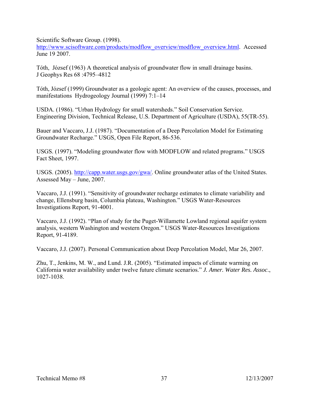Scientific Software Group. (1998).

http://www.scisoftware.com/products/modflow\_overview/modflow\_overview.html. Accessed June 19 2007.

Tóth, József (1963) A theoretical analysis of groundwater flow in small drainage basins. J Geophys Res 68 :4795–4812

Tóth, József (1999) Groundwater as a geologic agent: An overview of the causes, processes, and manifestations Hydrogeology Journal (1999) 7:1–14

USDA. (1986). "Urban Hydrology for small watersheds." Soil Conservation Service. Engineering Division, Technical Release, U.S. Department of Agriculture (USDA), 55(TR-55).

Bauer and Vaccaro, J.J. (1987). "Documentation of a Deep Percolation Model for Estimating Groundwater Recharge." USGS, Open File Report, 86-536.

USGS. (1997). "Modeling groundwater flow with MODFLOW and related programs." USGS Fact Sheet, 1997.

USGS. (2005). http://capp.water.usgs.gov/gwa/. Online groundwater atlas of the United States. Assessed May – June, 2007.

Vaccaro, J.J. (1991). "Sensitivity of groundwater recharge estimates to climate variability and change, Ellensburg basin, Columbia plateau, Washington." USGS Water-Resources Investigations Report, 91-4001.

Vaccaro, J.J. (1992). "Plan of study for the Puget-Willamette Lowland regional aquifer system analysis, western Washington and western Oregon." USGS Water-Resources Investigations Report, 91-4189.

Vaccaro, J.J. (2007). Personal Communication about Deep Percolation Model, Mar 26, 2007.

Zhu, T., Jenkins, M. W., and Lund. J.R. (2005). "Estimated impacts of climate warming on California water availability under twelve future climate scenarios." *J. Amer. Water Res. Assoc*., 1027-1038.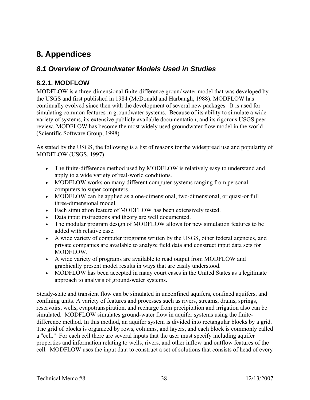# **8. Appendices**

# *8.1 Overview of Groundwater Models Used in Studies*

### **8.2.1. MODFLOW**

MODFLOW is a three-dimensional finite-difference groundwater model that was developed by the USGS and first published in 1984 (McDonald and Harbaugh, 1988). MODFLOW has continually evolved since then with the development of several new packages. It is used for simulating common features in groundwater systems. Because of its ability to simulate a wide variety of systems, its extensive publicly available documentation, and its rigorous USGS peer review, MODFLOW has become the most widely used groundwater flow model in the world (Scientific Software Group, 1998).

As stated by the USGS, the following is a list of reasons for the widespread use and popularity of MODFLOW (USGS, 1997).

- The finite-difference method used by MODFLOW is relatively easy to understand and apply to a wide variety of real-world conditions.
- MODFLOW works on many different computer systems ranging from personal computers to super computers.
- MODFLOW can be applied as a one-dimensional, two-dimensional, or quasi-or full three-dimensional model.
- Each simulation feature of MODFLOW has been extensively tested.
- Data input instructions and theory are well documented.
- The modular program design of MODFLOW allows for new simulation features to be added with relative ease.
- A wide variety of computer programs written by the USGS, other federal agencies, and private companies are available to analyze field data and construct input data sets for MODFLOW.
- A wide variety of programs are available to read output from MODFLOW and graphically present model results in ways that are easily understood.
- MODFLOW has been accepted in many court cases in the United States as a legitimate approach to analysis of ground-water systems.

Steady-state and transient flow can be simulated in unconfined aquifers, confined aquifers, and confining units. A variety of features and processes such as rivers, streams, drains, springs, reservoirs, wells, evapotranspiration, and recharge from precipitation and irrigation also can be simulated. MODFLOW simulates ground-water flow in aquifer systems using the finitedifference method. In this method, an aquifer system is divided into rectangular blocks by a grid. The grid of blocks is organized by rows, columns, and layers, and each block is commonly called a "cell." For each cell there are several inputs that the user must specify including aquifer properties and information relating to wells, rivers, and other inflow and outflow features of the cell. MODFLOW uses the input data to construct a set of solutions that consists of head of every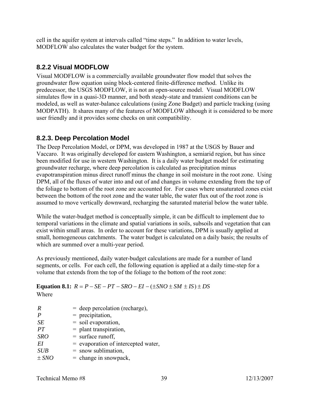cell in the aquifer system at intervals called "time steps." In addition to water levels, MODFLOW also calculates the water budget for the system.

### **8.2.2 Visual MODFLOW**

Visual MODFLOW is a commercially available groundwater flow model that solves the groundwater flow equation using block-centered finite-difference method. Unlike its predecessor, the USGS MODFLOW, it is not an open-source model. Visual MODFLOW simulates flow in a quasi-3D manner, and both steady-state and transient conditions can be modeled, as well as water-balance calculations (using Zone Budget) and particle tracking (using MODPATH). It shares many of the features of MODFLOW although it is considered to be more user friendly and it provides some checks on unit compatibility.

### **8.2.3. Deep Percolation Model**

The Deep Percolation Model, or DPM, was developed in 1987 at the USGS by Bauer and Vaccaro. It was originally developed for eastern Washington, a semiarid region, but has since been modified for use in western Washington. It is a daily water budget model for estimating groundwater recharge, where deep percolation is calculated as precipitation minus evapotranspiration minus direct runoff minus the change in soil moisture in the root zone. Using DPM, all of the fluxes of water into and out of and changes in volume extending from the top of the foliage to bottom of the root zone are accounted for. For cases where unsaturated zones exist between the bottom of the root zone and the water table, the water flux out of the root zone is assumed to move vertically downward, recharging the saturated material below the water table.

While the water-budget method is conceptually simple, it can be difficult to implement due to temporal variations in the climate and spatial variations in soils, subsoils and vegetation that can exist within small areas. In order to account for these variations, DPM is usually applied at small, homogeneous catchments. The water budget is calculated on a daily basis; the results of which are summed over a multi-year period.

As previously mentioned, daily water-budget calculations are made for a number of land segments, or cells. For each cell, the following equation is applied at a daily time-step for a volume that extends from the top of the foliage to the bottom of the root zone:

**Equation 8.1:**  $R = P - SE - PT - SRO - EI - (\pm SNO \pm SM \pm IS) \pm DS$ 

Where

| R          | $=$ deep percolation (recharge),      |
|------------|---------------------------------------|
| $\bm{P}$   | $=$ precipitation,                    |
| SE         | $=$ soil evaporation,                 |
| PT         | $=$ plant transpiration,              |
| <b>SRO</b> | $=$ surface runoff,                   |
| EI         | $=$ evaporation of intercepted water, |
| <b>SUB</b> | $=$ snow sublimation,                 |
| $\pm$ SNO  | $=$ change in snowpack,               |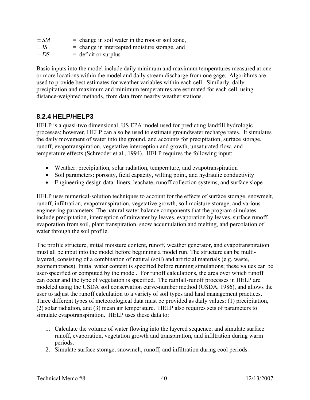| $\pm SM$ | $=$ change in soil water in the root or soil zone, |
|----------|----------------------------------------------------|
| $\pm IS$ | $=$ change in intercepted moisture storage, and    |
| $\pm DS$ | $=$ deficit or surplus                             |

Basic inputs into the model include daily minimum and maximum temperatures measured at one or more locations within the model and daily stream discharge from one gage. Algorithms are used to provide best estimates for weather variables within each cell. Similarly, daily precipitation and maximum and minimum temperatures are estimated for each cell, using distance-weighted methods, from data from nearby weather stations.

### **8.2.4 HELP/HELP3**

HELP is a quasi-two dimensional, US EPA model used for predicting landfill hydrologic processes; however, HELP can also be used to estimate groundwater recharge rates. It simulates the daily movement of water into the ground, and accounts for precipitation, surface storage, runoff, evapotranspiration, vegetative interception and growth, unsaturated flow, and temperature effects (Schreoder et al., 1994). HELP requires the following input:

- Weather: precipitation, solar radiation, temperature, and evapotranspiration
- Soil parameters: porosity, field capacity, wilting point, and hydraulic conductivity
- Engineering design data: liners, leachate, runoff collection systems, and surface slope

HELP uses numerical-solution techniques to account for the effects of surface storage, snowmelt, runoff, infiltration, evapotranspiration, vegetative growth, soil moisture storage, and various engineering parameters. The natural water balance components that the program simulates include precipitation, interception of rainwater by leaves, evaporation by leaves, surface runoff, evaporation from soil, plant transpiration, snow accumulation and melting, and percolation of water through the soil profile.

The profile structure, initial moisture content, runoff, weather generator, and evapotranspiration must all be input into the model before beginning a model run. The structure can be multilayered, consisting of a combination of natural (soil) and artificial materials (e.g. waste, geomembranes). Initial water content is specified before running simulations; these values can be user-specified or computed by the model. For runoff calculations, the area over which runoff can occur and the type of vegetation is specified. The rainfall-runoff processes in HELP are modeled using the USDA soil conservation curve-number method (USDA, 1986), and allows the user to adjust the runoff calculation to a variety of soil types and land management practices. Three different types of meteorological data must be provided as daily values: (1) precipitation, (2) solar radiation, and (3) mean air temperature. HELP also requires sets of parameters to simulate evapotranspiration. HELP uses these data to:

- 1. Calculate the volume of water flowing into the layered sequence, and simulate surface runoff, evaporation, vegetation growth and transpiration, and infiltration during warm periods.
- 2. Simulate surface storage, snowmelt, runoff, and infiltration during cool periods.